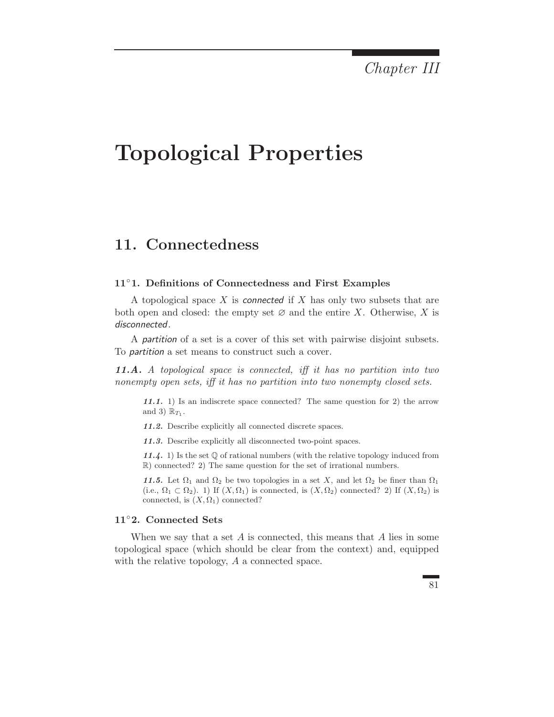Chapter III

# Topological Properties

# 11. Connectedness

#### 11◦1. Definitions of Connectedness and First Examples

A topological space X is connected if X has only two subsets that are both open and closed: the empty set  $\varnothing$  and the entire X. Otherwise, X is disconnected.

A partition of a set is a cover of this set with pairwise disjoint subsets. To partition a set means to construct such a cover.

11.A. A topological space is connected, iff it has no partition into two nonempty open sets, iff it has no partition into two nonempty closed sets.

11.1. 1) Is an indiscrete space connected? The same question for 2) the arrow and 3)  $\mathbb{R}_{T_1}$ .

11.2. Describe explicitly all connected discrete spaces.

11.3. Describe explicitly all disconnected two-point spaces.

11.4. 1) Is the set  $\mathbb Q$  of rational numbers (with the relative topology induced from R) connected? 2) The same question for the set of irrational numbers.

11.5. Let  $\Omega_1$  and  $\Omega_2$  be two topologies in a set X, and let  $\Omega_2$  be finer than  $\Omega_1$ (i.e.,  $\Omega_1 \subset \Omega_2$ ). 1) If  $(X, \Omega_1)$  is connected, is  $(X, \Omega_2)$  connected? 2) If  $(X, \Omega_2)$  is connected, is  $(X, \Omega_1)$  connected?

### 11◦2. Connected Sets

When we say that a set  $A$  is connected, this means that  $A$  lies in some topological space (which should be clear from the context) and, equipped with the relative topology, A a connected space.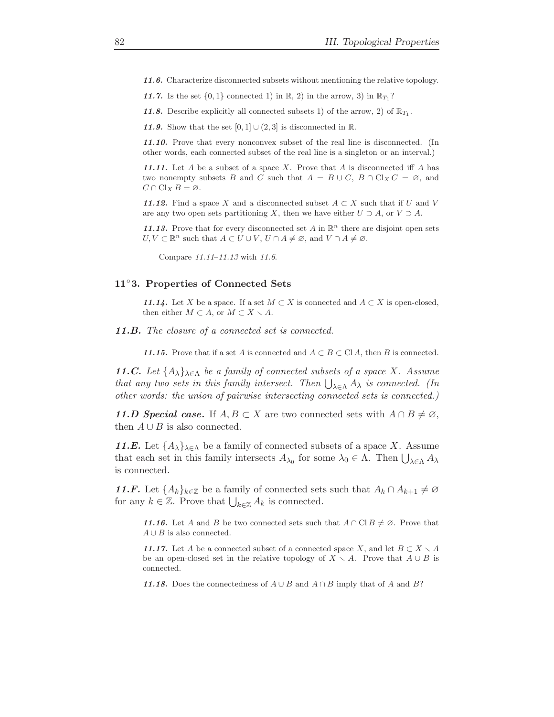11.6. Characterize disconnected subsets without mentioning the relative topology.

11.7. Is the set  $\{0,1\}$  connected 1) in R, 2) in the arrow, 3) in  $\mathbb{R}_{T_1}$ ?

11.8. Describe explicitly all connected subsets 1) of the arrow, 2) of  $\mathbb{R}_{T_1}$ .

11.9. Show that the set  $[0, 1] \cup (2, 3]$  is disconnected in R.

11.10. Prove that every nonconvex subset of the real line is disconnected. (In other words, each connected subset of the real line is a singleton or an interval.)

11.11. Let  $A$  be a subset of a space  $X$ . Prove that  $A$  is disconnected iff  $A$  has two nonempty subsets B and C such that  $A = B \cup C$ ,  $B \cap Cl_X C = \emptyset$ , and  $C \cap Cl_X B = \emptyset.$ 

11.12. Find a space X and a disconnected subset  $A \subset X$  such that if U and V are any two open sets partitioning X, then we have either  $U \supset A$ , or  $V \supset A$ .

11.13. Prove that for every disconnected set A in  $\mathbb{R}^n$  there are disjoint open sets  $U, V \subset \mathbb{R}^n$  such that  $A \subset U \cup V$ ,  $U \cap A \neq \emptyset$ , and  $V \cap A \neq \emptyset$ .

Compare 11.11–11.13 with 11.6.

#### 11◦3. Properties of Connected Sets

11.14. Let X be a space. If a set  $M \subset X$  is connected and  $A \subset X$  is open-closed, then either  $M \subset A$ , or  $M \subset X \setminus A$ .

11.B. The closure of a connected set is connected.

11.15. Prove that if a set A is connected and  $A \subset B \subset \text{Cl } A$ , then B is connected.

**11.C.** Let  $\{A_{\lambda}\}_{{\lambda \in {\Lambda}}}$  be a family of connected subsets of a space X. Assume that any two sets in this family intersect. Then  $\bigcup_{\lambda \in \Lambda} A_{\lambda}$  is connected. (In other words: the union of pairwise intersecting connected sets is connected.)

11.D Special case. If  $A, B \subset X$  are two connected sets with  $A \cap B \neq \emptyset$ , then  $A \cup B$  is also connected.

**11.E.** Let  $\{A_{\lambda}\}_{{\lambda \in \Lambda}}$  be a family of connected subsets of a space X. Assume that each set in this family intersects  $A_{\lambda_0}$  for some  $\lambda_0 \in \Lambda$ . Then  $\bigcup_{\lambda \in \Lambda} A_{\lambda}$ is connected.

11.F. Let  $\{A_k\}_{k\in\mathbb{Z}}$  be a family of connected sets such that  $A_k \cap A_{k+1} \neq \emptyset$ for any  $k \in \mathbb{Z}$ . Prove that  $\bigcup_{k \in \mathbb{Z}} A_k$  is connected.

11.16. Let A and B be two connected sets such that  $A \cap \text{Cl} B \neq \emptyset$ . Prove that  $A \cup B$  is also connected.

11.17. Let A be a connected subset of a connected space X, and let  $B \subset X \setminus A$ be an open-closed set in the relative topology of  $X \setminus A$ . Prove that  $A \cup B$  is connected.

11.18. Does the connectedness of  $A \cup B$  and  $A \cap B$  imply that of A and B?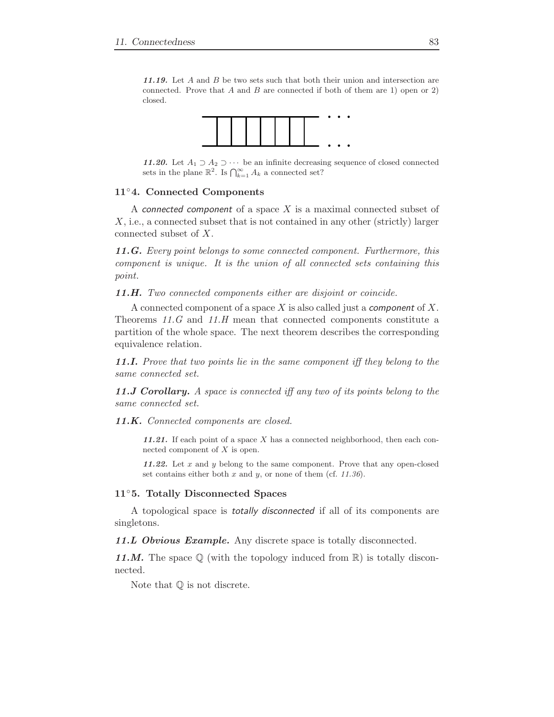11.19. Let A and B be two sets such that both their union and intersection are connected. Prove that  $A$  and  $B$  are connected if both of them are 1) open or 2) closed.



11.20. Let  $A_1$  ⊃  $A_2$  ⊃  $\cdots$  be an infinite decreasing sequence of closed connected sets in the plane  $\mathbb{R}^2$ . Is  $\bigcap_{k=1}^{\infty} A_k$  a connected set?

#### 11◦4. Connected Components

A connected component of a space  $X$  is a maximal connected subset of X, i.e., a connected subset that is not contained in any other (strictly) larger connected subset of X.

11.G. Every point belongs to some connected component. Furthermore, this component is unique. It is the union of all connected sets containing this point.

11.H. Two connected components either are disjoint or coincide.

A connected component of a space X is also called just a *component* of X. Theorems 11.G and 11.H mean that connected components constitute a partition of the whole space. The next theorem describes the corresponding equivalence relation.

11.I. Prove that two points lie in the same component iff they belong to the same connected set.

11.J Corollary. A space is connected iff any two of its points belong to the same connected set.

11.K. Connected components are closed.

11.21. If each point of a space  $X$  has a connected neighborhood, then each connected component of X is open.

11.22. Let  $x$  and  $y$  belong to the same component. Prove that any open-closed set contains either both  $x$  and  $y$ , or none of them (cf. 11.36).

#### 11◦5. Totally Disconnected Spaces

A topological space is totally disconnected if all of its components are singletons.

11.L Obvious Example. Any discrete space is totally disconnected.

11.M. The space  $\mathbb Q$  (with the topology induced from  $\mathbb R$ ) is totally disconnected.

Note that  $\mathbb Q$  is not discrete.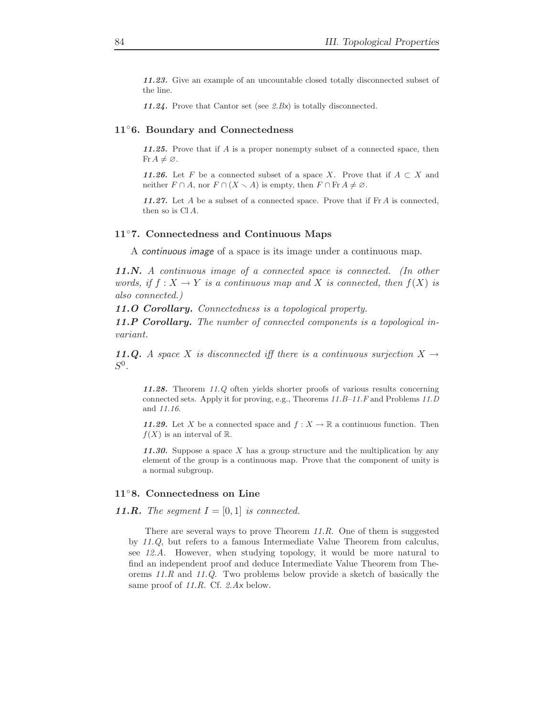11.23. Give an example of an uncountable closed totally disconnected subset of the line.

11.24. Prove that Cantor set (see 2.Bx) is totally disconnected.

#### 11◦6. Boundary and Connectedness

11.25. Prove that if A is a proper nonempty subset of a connected space, then Fr  $A \neq \emptyset$ .

11.26. Let F be a connected subset of a space X. Prove that if  $A \subset X$  and neither  $F \cap A$ , nor  $F \cap (X \setminus A)$  is empty, then  $F \cap Fr A \neq \emptyset$ .

11.27. Let A be a subset of a connected space. Prove that if  $\text{Fr } A$  is connected, then so is  $CIA$ .

#### 11◦7. Connectedness and Continuous Maps

A continuous image of a space is its image under a continuous map.

11.N. A continuous image of a connected space is connected. (In other words, if  $f: X \to Y$  is a continuous map and X is connected, then  $f(X)$  is also connected.)

11.O Corollary. Connectedness is a topological property.

11.P Corollary. The number of connected components is a topological invariant.

11.Q. A space X is disconnected iff there is a continuous surjection  $X \rightarrow$  $S^0$ .

11.28. Theorem 11.Q often yields shorter proofs of various results concerning connected sets. Apply it for proving, e.g., Theorems 11.B–11.F and Problems 11.D and 11.16.

11.29. Let X be a connected space and  $f: X \to \mathbb{R}$  a continuous function. Then  $f(X)$  is an interval of R.

11.30. Suppose a space X has a group structure and the multiplication by any element of the group is a continuous map. Prove that the component of unity is a normal subgroup.

### 11◦8. Connectedness on Line

**11.R.** The segment  $I = [0, 1]$  is connected.

There are several ways to prove Theorem 11.R. One of them is suggested by 11.Q, but refers to a famous Intermediate Value Theorem from calculus, see 12.A. However, when studying topology, it would be more natural to find an independent proof and deduce Intermediate Value Theorem from Theorems 11.R and 11.Q. Two problems below provide a sketch of basically the same proof of 11.R. Cf. 2.Ax below.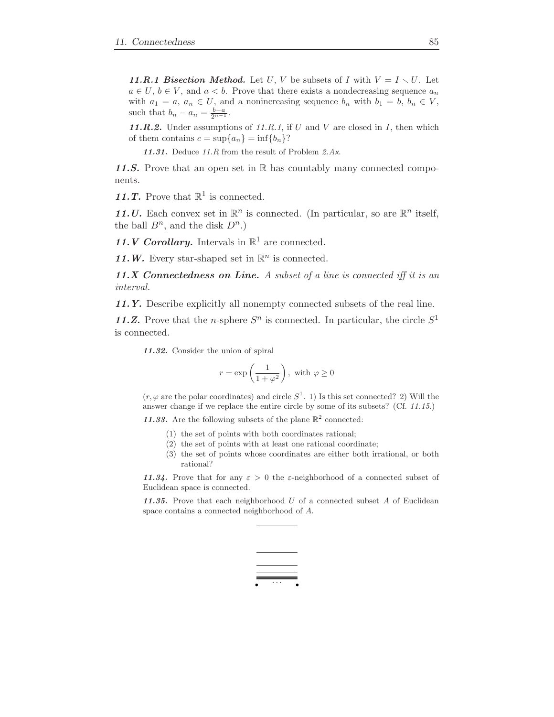11.R.1 Bisection Method. Let U, V be subsets of I with  $V = I \setminus U$ . Let  $a \in U$ ,  $b \in V$ , and  $a < b$ . Prove that there exists a nondecreasing sequence  $a_n$ with  $a_1 = a, a_n \in U$ , and a nonincreasing sequence  $b_n$  with  $b_1 = b, b_n \in V$ , such that  $b_n - a_n = \frac{b-a}{2^{n-1}}$ .

11.R.2. Under assumptions of 11.R.1, if  $U$  and  $V$  are closed in  $I$ , then which of them contains  $c = \sup\{a_n\} = \inf\{b_n\}$ ?

11.31. Deduce  $11.R$  from the result of Problem  $2.Ax$ .

11.S. Prove that an open set in  $\mathbb R$  has countably many connected components.

11.T. Prove that  $\mathbb{R}^1$  is connected.

11. U. Each convex set in  $\mathbb{R}^n$  is connected. (In particular, so are  $\mathbb{R}^n$  itself, the ball  $B^n$ , and the disk  $D^n$ .)

11. *V* Corollary. Intervals in  $\mathbb{R}^1$  are connected.

11.W. Every star-shaped set in  $\mathbb{R}^n$  is connected.

11.X Connectedness on Line. A subset of a line is connected iff it is an interval.

11.Y. Describe explicitly all nonempty connected subsets of the real line.

11.Z. Prove that the *n*-sphere  $S<sup>n</sup>$  is connected. In particular, the circle  $S<sup>1</sup>$ is connected.

11.32. Consider the union of spiral

$$
r = \exp\left(\frac{1}{1+\varphi^2}\right), \text{ with } \varphi \ge 0
$$

 $(r, \varphi)$  are the polar coordinates) and circle  $S^1$ . 1) Is this set connected? 2) Will the answer change if we replace the entire circle by some of its subsets? (Cf. 11.15.)

11.33. Are the following subsets of the plane  $\mathbb{R}^2$  connected:

- (1) the set of points with both coordinates rational;
- (2) the set of points with at least one rational coordinate;
- (3) the set of points whose coordinates are either both irrational, or both rational?

11.34. Prove that for any  $\varepsilon > 0$  the  $\varepsilon$ -neighborhood of a connected subset of Euclidean space is connected.

11.35. Prove that each neighborhood  $U$  of a connected subset  $A$  of Euclidean space contains a connected neighborhood of A.

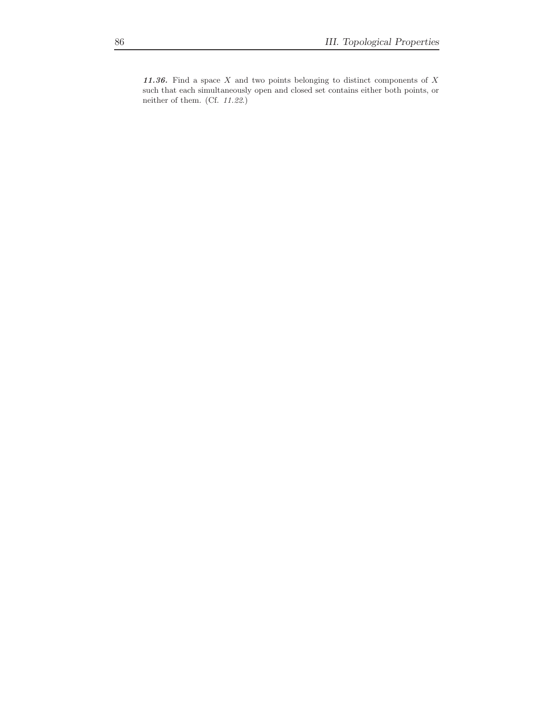11.36. Find a space  $X$  and two points belonging to distinct components of  $X$ such that each simultaneously open and closed set contains either both points, or neither of them. (Cf. 11.22.)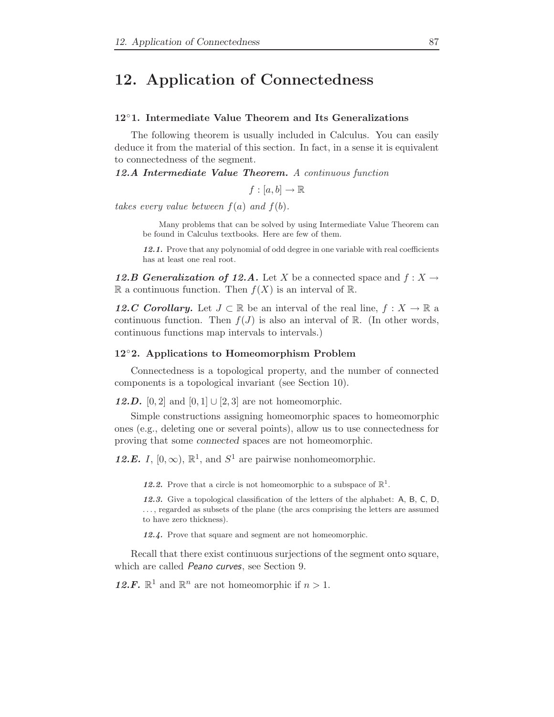# 12. Application of Connectedness

# 12◦1. Intermediate Value Theorem and Its Generalizations

The following theorem is usually included in Calculus. You can easily deduce it from the material of this section. In fact, in a sense it is equivalent to connectedness of the segment.

12.A Intermediate Value Theorem. A continuous function

 $f : [a, b] \rightarrow \mathbb{R}$ 

takes every value between  $f(a)$  and  $f(b)$ .

Many problems that can be solved by using Intermediate Value Theorem can be found in Calculus textbooks. Here are few of them.

12.1. Prove that any polynomial of odd degree in one variable with real coefficients has at least one real root.

12.B Generalization of 12.A. Let X be a connected space and  $f: X \to Y$ R a continuous function. Then  $f(X)$  is an interval of R.

12.C Corollary. Let  $J \subset \mathbb{R}$  be an interval of the real line,  $f : X \to \mathbb{R}$  a continuous function. Then  $f(J)$  is also an interval of R. (In other words, continuous functions map intervals to intervals.)

#### 12◦2. Applications to Homeomorphism Problem

Connectedness is a topological property, and the number of connected components is a topological invariant (see Section 10).

12.D. [0, 2] and  $[0, 1] \cup [2, 3]$  are not homeomorphic.

Simple constructions assigning homeomorphic spaces to homeomorphic ones (e.g., deleting one or several points), allow us to use connectedness for proving that some connected spaces are not homeomorphic.

12.E. I,  $[0, \infty)$ ,  $\mathbb{R}^1$ , and  $S^1$  are pairwise nonhomeomorphic.

12.2. Prove that a circle is not homeomorphic to a subspace of  $\mathbb{R}^1$ .

12.3. Give a topological classification of the letters of the alphabet: A, B, C, D, . . . , regarded as subsets of the plane (the arcs comprising the letters are assumed to have zero thickness).

12.4. Prove that square and segment are not homeomorphic.

Recall that there exist continuous surjections of the segment onto square, which are called Peano curves, see Section 9.

12.F.  $\mathbb{R}^1$  and  $\mathbb{R}^n$  are not homeomorphic if  $n > 1$ .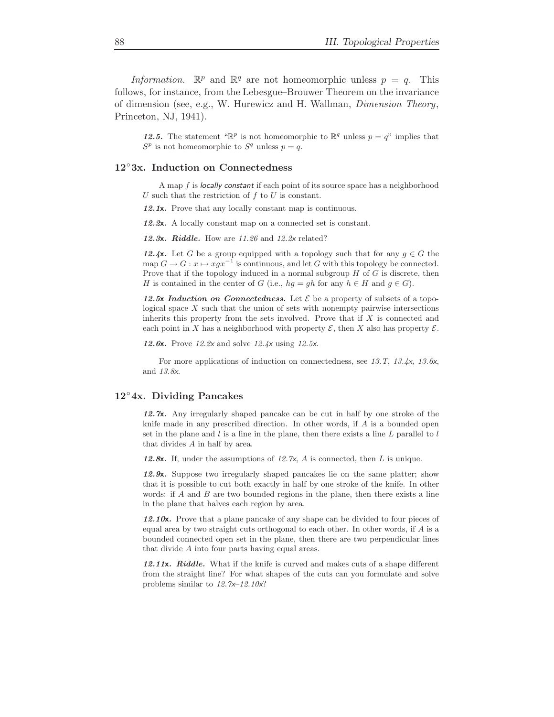Information.  $\mathbb{R}^p$  and  $\mathbb{R}^q$  are not homeomorphic unless  $p = q$ . This follows, for instance, from the Lebesgue–Brouwer Theorem on the invariance of dimension (see, e.g., W. Hurewicz and H. Wallman, Dimension Theory, Princeton, NJ, 1941).

12.5. The statement " $\mathbb{R}^p$  is not homeomorphic to  $\mathbb{R}^q$  unless  $p = q$ " implies that  $S^p$  is not homeomorphic to  $S^q$  unless  $p = q$ .

#### 12◦3x. Induction on Connectedness

A map f is locally constant if each point of its source space has a neighborhood U such that the restriction of  $f$  to  $U$  is constant.

12.1x. Prove that any locally constant map is continuous.

12.2x. A locally constant map on a connected set is constant.

12.3x. Riddle. How are  $11.26$  and  $12.2x$  related?

12.4x. Let G be a group equipped with a topology such that for any  $g \in G$  the map  $G \to G : x \mapsto xgx^{-1}$  is continuous, and let G with this topology be connected. Prove that if the topology induced in a normal subgroup  $H$  of  $G$  is discrete, then H is contained in the center of G (i.e.,  $hg = gh$  for any  $h \in H$  and  $g \in G$ ).

12.5x Induction on Connectedness. Let  $\mathcal E$  be a property of subsets of a topological space  $X$  such that the union of sets with nonempty pairwise intersections inherits this property from the sets involved. Prove that if  $X$  is connected and each point in X has a neighborhood with property  $\mathcal{E}$ , then X also has property  $\mathcal{E}$ .

**12.6x.** Prove 12.2x and solve  $12.4x$  using 12.5x.

For more applications of induction on connectedness, see 13.T, 13.4x, 13.6x, and 13.8x.

#### 12◦4x. Dividing Pancakes

12.7x. Any irregularly shaped pancake can be cut in half by one stroke of the knife made in any prescribed direction. In other words, if A is a bounded open set in the plane and  $l$  is a line in the plane, then there exists a line  $L$  parallel to  $l$ that divides A in half by area.

12.8x. If, under the assumptions of 12.7x, A is connected, then L is unique.

12.9x. Suppose two irregularly shaped pancakes lie on the same platter; show that it is possible to cut both exactly in half by one stroke of the knife. In other words: if  $A$  and  $B$  are two bounded regions in the plane, then there exists a line in the plane that halves each region by area.

12.10 $x$ . Prove that a plane pancake of any shape can be divided to four pieces of equal area by two straight cuts orthogonal to each other. In other words, if  $A$  is a bounded connected open set in the plane, then there are two perpendicular lines that divide A into four parts having equal areas.

12.11x. Riddle. What if the knife is curved and makes cuts of a shape different from the straight line? For what shapes of the cuts can you formulate and solve problems similar to 12.7x–12.10x?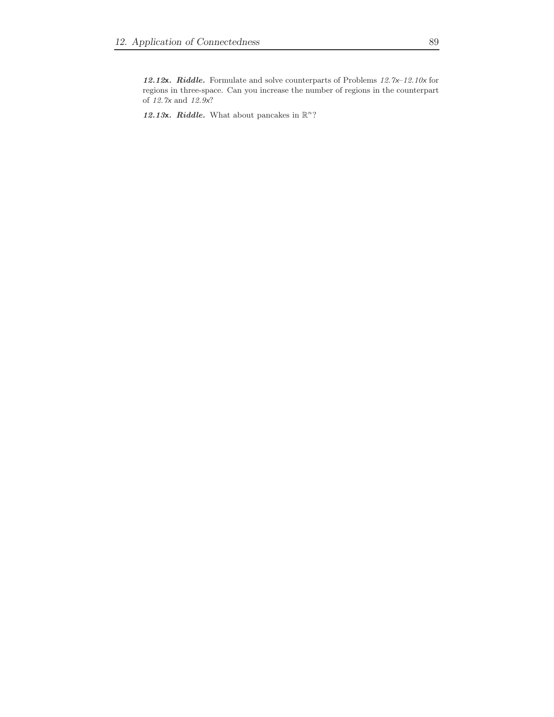12.12x. Riddle. Formulate and solve counterparts of Problems 12.7x–12.10x for regions in three-space. Can you increase the number of regions in the counterpart of  $\it 12.7x$  and  $\it 12.9x?$ 

12.13x. Riddle. What about pancakes in  $\mathbb{R}^n$ ?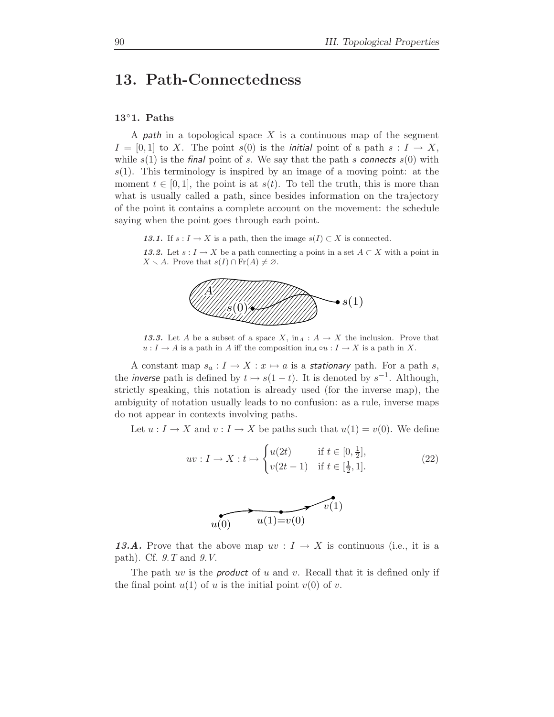# 13. Path-Connectedness

# 13◦1. Paths

A *path* in a topological space X is a continuous map of the segment  $I = [0, 1]$  to X. The point  $s(0)$  is the *initial* point of a path  $s: I \to X$ , while  $s(1)$  is the final point of s. We say that the path s connects  $s(0)$  with  $s(1)$ . This terminology is inspired by an image of a moving point: at the moment  $t \in [0, 1]$ , the point is at  $s(t)$ . To tell the truth, this is more than what is usually called a path, since besides information on the trajectory of the point it contains a complete account on the movement: the schedule saying when the point goes through each point.

13.1. If  $s: I \to X$  is a path, then the image  $s(I) \subset X$  is connected.

13.2. Let  $s: I \to X$  be a path connecting a point in a set  $A \subset X$  with a point in  $X \setminus A$ . Prove that  $s(I) \cap Fr(A) \neq \emptyset$ .



13.3. Let A be a subset of a space X,  $\text{in}_A : A \to X$  the inclusion. Prove that  $u: I \to A$  is a path in  $A$  iff the composition  $\text{in}_A \circ u: I \to X$  is a path in  $X.$ 

A constant map  $s_a: I \to X: x \mapsto a$  is a stationary path. For a path s, the *inverse* path is defined by  $t \mapsto s(1-t)$ . It is denoted by  $s^{-1}$ . Although, strictly speaking, this notation is already used (for the inverse map), the ambiguity of notation usually leads to no confusion: as a rule, inverse maps do not appear in contexts involving paths.

Let  $u: I \to X$  and  $v: I \to X$  be paths such that  $u(1) = v(0)$ . We define

$$
uv: I \to X: t \mapsto \begin{cases} u(2t) & \text{if } t \in [0, \frac{1}{2}], \\ v(2t - 1) & \text{if } t \in [\frac{1}{2}, 1]. \end{cases}
$$
 (22)



13.A. Prove that the above map  $uv: I \to X$  is continuous (i.e., it is a path). Cf. 9.T and 9.V.

The path uv is the **product** of u and v. Recall that it is defined only if the final point  $u(1)$  of u is the initial point  $v(0)$  of v.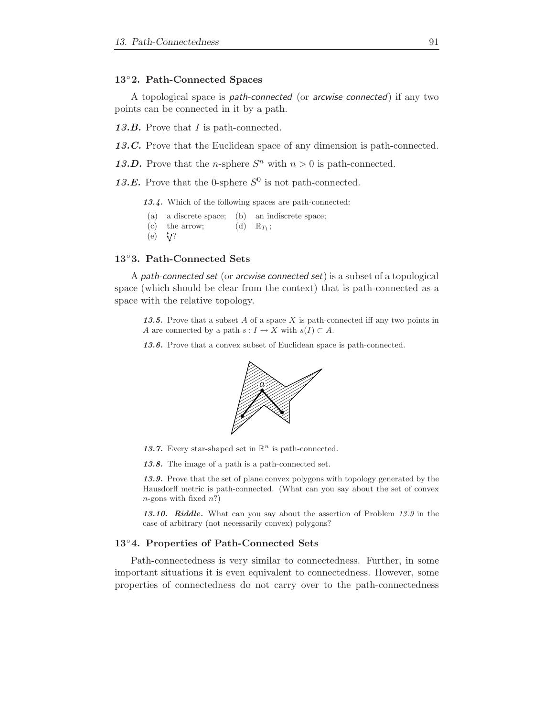#### 13◦2. Path-Connected Spaces

A topological space is path-connected (or arcwise connected) if any two points can be connected in it by a path.

13.B. Prove that I is path-connected.

13.C. Prove that the Euclidean space of any dimension is path-connected.

13.D. Prove that the *n*-sphere  $S<sup>n</sup>$  with  $n > 0$  is path-connected.

13.E. Prove that the 0-sphere  $S^0$  is not path-connected.

13.4. Which of the following spaces are path-connected:

(a) a discrete space; (b) an indiscrete space;  $(c)$  the arrow; (d)  $\mathbb{R}_{T_1};$  $(e) \quad V?$ 

#### 13◦3. Path-Connected Sets

A path-connected set (or arcwise connected set) is a subset of a topological space (which should be clear from the context) that is path-connected as a space with the relative topology.

13.5. Prove that a subset A of a space X is path-connected iff any two points in A are connected by a path  $s: I \to X$  with  $s(I) \subset A$ .

13.6. Prove that a convex subset of Euclidean space is path-connected.



13.7. Every star-shaped set in  $\mathbb{R}^n$  is path-connected.

13.8. The image of a path is a path-connected set.

13.9. Prove that the set of plane convex polygons with topology generated by the Hausdorff metric is path-connected. (What can you say about the set of convex  $n$ -gons with fixed  $n$ ?)

13.10. Riddle. What can you say about the assertion of Problem 13.9 in the case of arbitrary (not necessarily convex) polygons?

# 13◦4. Properties of Path-Connected Sets

Path-connectedness is very similar to connectedness. Further, in some important situations it is even equivalent to connectedness. However, some properties of connectedness do not carry over to the path-connectedness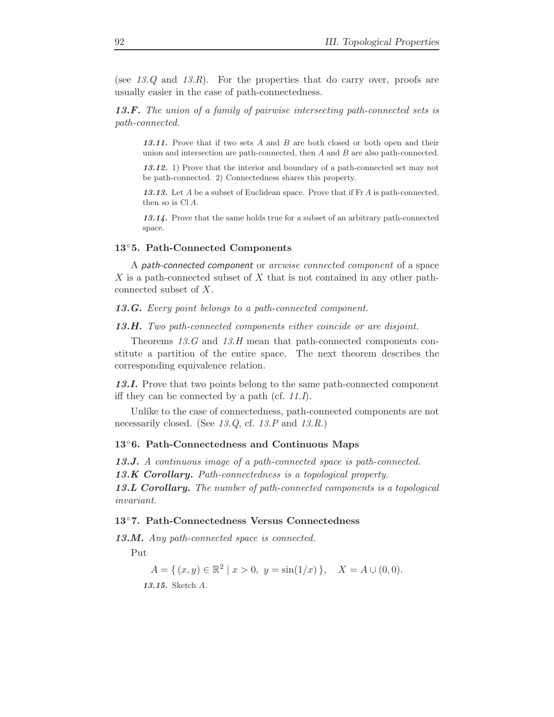(see  $13.Q$  and  $13.R$ ). For the properties that do carry over, proofs are usually easier in the case of path-connectedness.

13.F. The union of a family of pairwise intersecting path-connected sets is path-connected.

13.11. Prove that if two sets  $A$  and  $B$  are both closed or both open and their union and intersection are path-connected, then A and B are also path-connected.

13.12. 1) Prove that the interior and boundary of a path-connected set may not be path-connected. 2) Connectedness shares this property.

13.13. Let  $A$  be a subset of Euclidean space. Prove that if  $\text{Fr } A$  is path-connected, then so is  $Cl A$ .

13.14. Prove that the same holds true for a subset of an arbitrary path-connected space.

#### 13◦5. Path-Connected Components

A path-connected component or arcwise connected component of a space X is a path-connected subset of X that is not contained in any other pathconnected subset of X.

13.G. Every point belongs to a path-connected component.

13.H. Two path-connected components either coincide or are disjoint.

Theorems 13.G and 13.H mean that path-connected components constitute a partition of the entire space. The next theorem describes the corresponding equivalence relation.

13.I. Prove that two points belong to the same path-connected component iff they can be connected by a path (cf. 11.I).

Unlike to the case of connectedness, path-connected components are not necessarily closed. (See 13.Q, cf. 13.P and 13.R.)

#### 13◦6. Path-Connectedness and Continuous Maps

13.J. A continuous image of a path-connected space is path-connected. 13.K Corollary. Path-connectedness is a topological property. 13.L Corollary. The number of path-connected components is a topological invariant.

### 13◦7. Path-Connectedness Versus Connectedness

13.M. Any path-connected space is connected.

Put

$$
A = \{ (x, y) \in \mathbb{R}^2 \mid x > 0, y = \sin(1/x) \}, \quad X = A \cup (0, 0).
$$
  
**13.15.** Sketch A.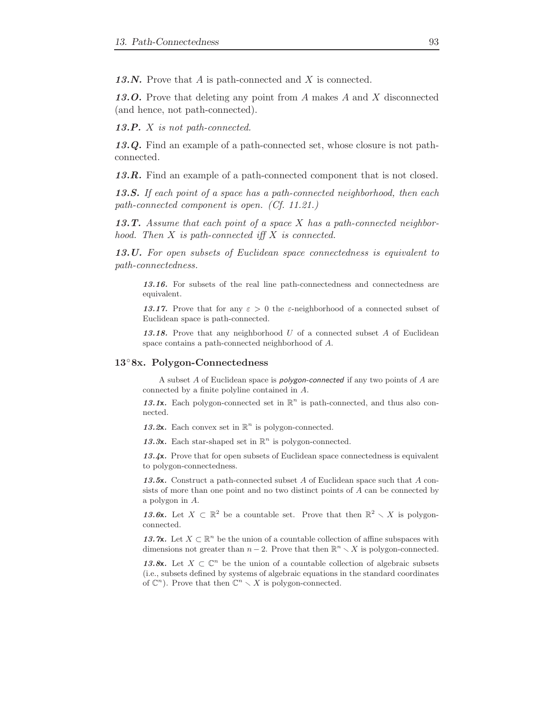13.N. Prove that  $A$  is path-connected and  $X$  is connected.

13.O. Prove that deleting any point from A makes A and X disconnected (and hence, not path-connected).

13.P.  $X$  is not path-connected.

13.Q. Find an example of a path-connected set, whose closure is not pathconnected.

13.R. Find an example of a path-connected component that is not closed.

13.S. If each point of a space has a path-connected neighborhood, then each path-connected component is open. (Cf. 11.21.)

13.T. Assume that each point of a space  $X$  has a path-connected neighborhood. Then  $X$  is path-connected iff  $X$  is connected.

13.U. For open subsets of Euclidean space connectedness is equivalent to path-connectedness.

13.16. For subsets of the real line path-connectedness and connectedness are equivalent.

13.17. Prove that for any  $\varepsilon > 0$  the  $\varepsilon$ -neighborhood of a connected subset of Euclidean space is path-connected.

13.18. Prove that any neighborhood  $U$  of a connected subset  $A$  of Euclidean space contains a path-connected neighborhood of A.

#### 13◦8x. Polygon-Connectedness

A subset A of Euclidean space is polygon-connected if any two points of A are connected by a finite polyline contained in A.

13.1x. Each polygon-connected set in  $\mathbb{R}^n$  is path-connected, and thus also connected.

13.2x. Each convex set in  $\mathbb{R}^n$  is polygon-connected.

13.3x. Each star-shaped set in  $\mathbb{R}^n$  is polygon-connected.

13.4x. Prove that for open subsets of Euclidean space connectedness is equivalent to polygon-connectedness.

13.5x. Construct a path-connected subset A of Euclidean space such that A consists of more than one point and no two distinct points of A can be connected by a polygon in A.

13.6x. Let  $X \subset \mathbb{R}^2$  be a countable set. Prove that then  $\mathbb{R}^2 \setminus X$  is polygonconnected.

13.7x. Let  $X \subset \mathbb{R}^n$  be the union of a countable collection of affine subspaces with dimensions not greater than  $n-2$ . Prove that then  $\mathbb{R}^n \setminus X$  is polygon-connected.

13.8x. Let  $X \subset \mathbb{C}^n$  be the union of a countable collection of algebraic subsets (i.e., subsets defined by systems of algebraic equations in the standard coordinates of  $\mathbb{C}^n$ ). Prove that then  $\mathbb{C}^n \setminus X$  is polygon-connected.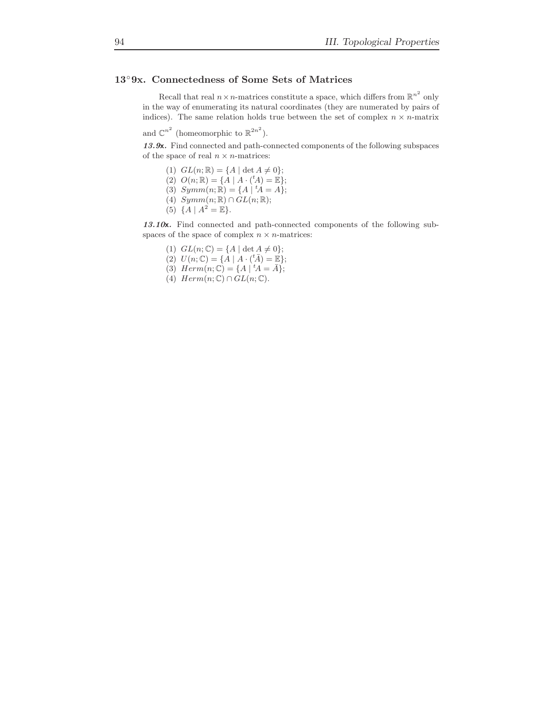# 13◦9x. Connectedness of Some Sets of Matrices

Recall that real  $n \times n$ -matrices constitute a space, which differs from  $\mathbb{R}^{n^2}$  only in the way of enumerating its natural coordinates (they are numerated by pairs of indices). The same relation holds true between the set of complex  $n \times n$ -matrix

and  $\mathbb{C}^{n^2}$  (homeomorphic to  $\mathbb{R}^{2n^2}$ ).

13.9x. Find connected and path-connected components of the following subspaces of the space of real  $n \times n$ -matrices:

- (1)  $GL(n;\mathbb{R}) = \{A \mid \det A \neq 0\};$
- (2)  $O(n; \mathbb{R}) = \{A \mid A \cdot ({}^t\!A) = \mathbb{E}\};$
- (3)  $Symm(n; \mathbb{R}) = \{A \mid {}^t A = A\};$
- (4)  $Symm(n; \mathbb{R}) \cap GL(n; \mathbb{R});$
- (5)  $\{A \mid A^2 = \mathbb{E}\}.$

13.10x. Find connected and path-connected components of the following subspaces of the space of complex  $n \times n$ -matrices:

- (1)  $GL(n;\mathbb{C}) = \{A \mid \det A \neq 0\};$
- (2)  $U(n; \mathbb{C}) = \{A \mid A \cdot (\,^t\bar{A}) = \mathbb{E}\};$
- (3)  $Herm(n; \mathbb{C}) = \{A \mid {}^t A = \bar{A}\};$
- (4)  $Herm(n;\mathbb{C}) \cap GL(n;\mathbb{C})$ .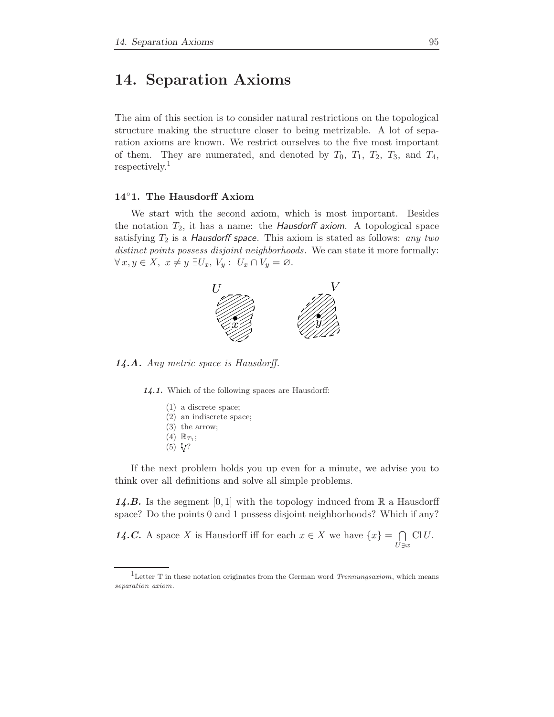# 14. Separation Axioms

The aim of this section is to consider natural restrictions on the topological structure making the structure closer to being metrizable. A lot of separation axioms are known. We restrict ourselves to the five most important of them. They are numerated, and denoted by  $T_0$ ,  $T_1$ ,  $T_2$ ,  $T_3$ , and  $T_4$ , respectively.<sup>1</sup>

### 14◦1. The Hausdorff Axiom

We start with the second axiom, which is most important. Besides the notation  $T_2$ , it has a name: the *Hausdorff axiom*. A topological space satisfying  $T_2$  is a *Hausdorff space*. This axiom is stated as follows: any two distinct points possess disjoint neighborhoods. We can state it more formally:  $\forall x, y \in X, \ x \neq y \ \exists U_x, V_y : \ U_x \cap V_y = \varnothing.$ 



14.A. Any metric space is Hausdorff.

14.1. Which of the following spaces are Hausdorff:

- (1) a discrete space;
- (2) an indiscrete space;
- (3) the arrow;
- $(4)$   $\mathbb{R}_{T_1};$
- $(5)$   $V$ ?

If the next problem holds you up even for a minute, we advise you to think over all definitions and solve all simple problems.

**14.B.** Is the segment [0,1] with the topology induced from  $\mathbb{R}$  a Hausdorff space? Do the points 0 and 1 possess disjoint neighborhoods? Which if any?

14.C. A space X is Hausdorff iff for each  $x \in X$  we have  $\{x\} = \bigcap$  $U \ni x$  $ClU.$ 

<sup>&</sup>lt;sup>1</sup>Letter T in these notation originates from the German word *Trennungsaxiom*, which means separation axiom.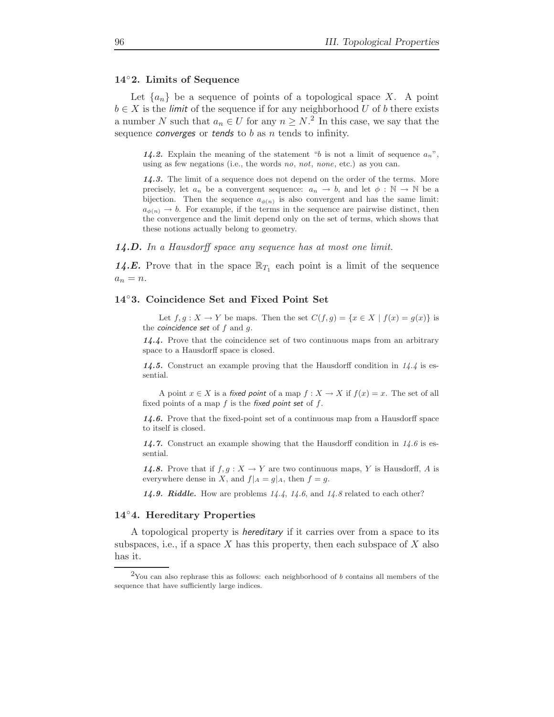#### 14◦2. Limits of Sequence

Let  $\{a_n\}$  be a sequence of points of a topological space X. A point  $b \in X$  is the *limit* of the sequence if for any neighborhood U of b there exists a number N such that  $a_n \in U$  for any  $n \geq N$ .<sup>2</sup> In this case, we say that the sequence *converges* or *tends* to  $b$  as  $n$  *tends* to infinity.

14.2. Explain the meaning of the statement "b is not a limit of sequence  $a_n$ ", using as few negations (i.e., the words no, not, none, etc.) as you can.

14.3. The limit of a sequence does not depend on the order of the terms. More precisely, let  $a_n$  be a convergent sequence:  $a_n \to b$ , and let  $\phi : \mathbb{N} \to \mathbb{N}$  be a bijection. Then the sequence  $a_{\phi(n)}$  is also convergent and has the same limit:  $a_{\phi(n)} \to b$ . For example, if the terms in the sequence are pairwise distinct, then the convergence and the limit depend only on the set of terms, which shows that these notions actually belong to geometry.

14.D. In a Hausdorff space any sequence has at most one limit.

**14.E.** Prove that in the space  $\mathbb{R}_{T_1}$  each point is a limit of the sequence  $a_n = n$ .

#### 14◦3. Coincidence Set and Fixed Point Set

Let  $f, g: X \to Y$  be maps. Then the set  $C(f, g) = \{x \in X \mid f(x) = g(x)\}\$ is the *coincidence* set of  $f$  and  $g$ .

14.4. Prove that the coincidence set of two continuous maps from an arbitrary space to a Hausdorff space is closed.

14.5. Construct an example proving that the Hausdorff condition in  $14.4$  is essential.

A point  $x \in X$  is a fixed point of a map  $f : X \to X$  if  $f(x) = x$ . The set of all fixed points of a map  $f$  is the fixed point set of  $f$ .

14.6. Prove that the fixed-point set of a continuous map from a Hausdorff space to itself is closed.

14.7. Construct an example showing that the Hausdorff condition in  $14.6$  is essential.

14.8. Prove that if  $f, g: X \to Y$  are two continuous maps, Y is Hausdorff, A is everywhere dense in X, and  $f|_A = g|_A$ , then  $f = g$ .

14.9. Riddle. How are problems  $14.4$ ,  $14.6$ , and  $14.8$  related to each other?

#### 14◦4. Hereditary Properties

A topological property is hereditary if it carries over from a space to its subspaces, i.e., if a space X has this property, then each subspace of X also has it.

 $2$ You can also rephrase this as follows: each neighborhood of b contains all members of the sequence that have sufficiently large indices.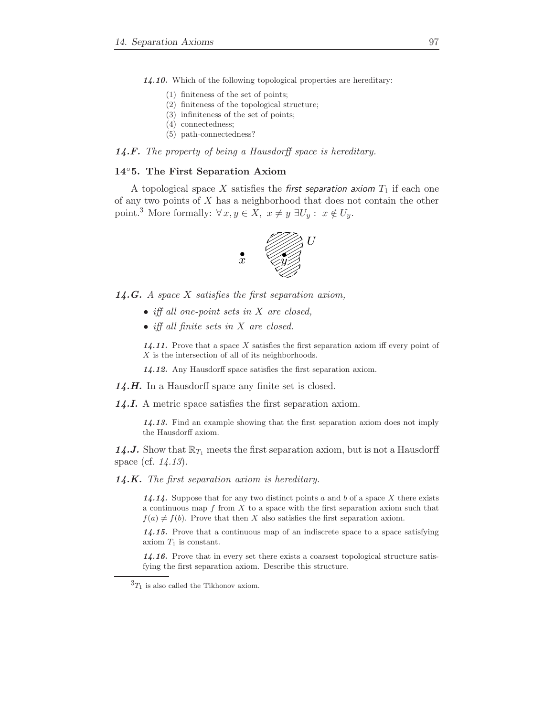14.10. Which of the following topological properties are hereditary:

- (1) finiteness of the set of points;
- (2) finiteness of the topological structure;
- (3) infiniteness of the set of points;
- (4) connectedness;
- (5) path-connectedness?

#### **14.F.** The property of being a Hausdorff space is hereditary.

#### 14◦5. The First Separation Axiom

A topological space X satisfies the first separation axiom  $T_1$  if each one of any two points of  $X$  has a neighborhood that does not contain the other point.<sup>3</sup> More formally:  $\forall x, y \in X, x \neq y \exists U_y : x \notin U_y$ .



**14.G.** A space  $X$  satisfies the first separation axiom,

- iff all one-point sets in X are closed.
- iff all finite sets in X are closed.

 $14.11$ . Prove that a space X satisfies the first separation axiom iff every point of  $\boldsymbol{X}$  is the intersection of all of its neighborhoods.

14.12. Any Hausdorff space satisfies the first separation axiom.

14.H. In a Hausdorff space any finite set is closed.

14.I. A metric space satisfies the first separation axiom.

14.13. Find an example showing that the first separation axiom does not imply the Hausdorff axiom.

14.J. Show that  $\mathbb{R}_{T_1}$  meets the first separation axiom, but is not a Hausdorff space (cf. 14.13).

 $14.K.$  The first separation axiom is hereditary.

14.14. Suppose that for any two distinct points  $a$  and  $b$  of a space  $X$  there exists a continuous map  $f$  from  $X$  to a space with the first separation axiom such that  $f(a) \neq f(b)$ . Prove that then X also satisfies the first separation axiom.

14.15. Prove that a continuous map of an indiscrete space to a space satisfying axiom  $T_1$  is constant.

14.16. Prove that in every set there exists a coarsest topological structure satisfying the first separation axiom. Describe this structure.

 ${}^{3}T_1$  is also called the Tikhonov axiom.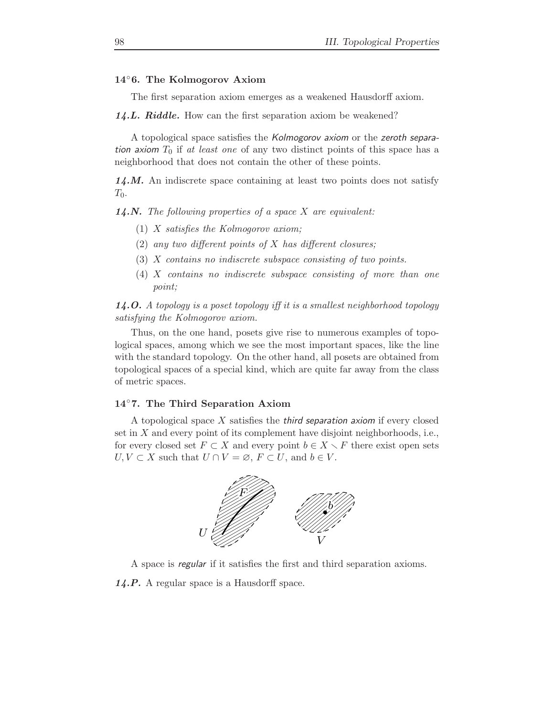### 14◦6. The Kolmogorov Axiom

The first separation axiom emerges as a weakened Hausdorff axiom.

14.L. Riddle. How can the first separation axiom be weakened?

A topological space satisfies the Kolmogorov axiom or the zeroth separation axiom  $T_0$  if at least one of any two distinct points of this space has a neighborhood that does not contain the other of these points.

 $14. M.$  An indiscrete space containing at least two points does not satisfy  $T_0$ .

**14.N.** The following properties of a space  $X$  are equivalent:

- (1) X satisfies the Kolmogorov axiom;
- (2) any two different points of  $X$  has different closures;
- (3) X contains no indiscrete subspace consisting of two points.
- (4) X contains no indiscrete subspace consisting of more than one point;

**14.O.** A topology is a poset topology iff it is a smallest neighborhood topology satisfying the Kolmogorov axiom.

Thus, on the one hand, posets give rise to numerous examples of topological spaces, among which we see the most important spaces, like the line with the standard topology. On the other hand, all posets are obtained from topological spaces of a special kind, which are quite far away from the class of metric spaces.

#### 14◦7. The Third Separation Axiom

A topological space  $X$  satisfies the *third separation axiom* if every closed set in  $X$  and every point of its complement have disjoint neighborhoods, i.e., for every closed set  $F \subset X$  and every point  $b \in X \setminus F$  there exist open sets  $U, V \subset X$  such that  $U \cap V = \emptyset$ ,  $F \subset U$ , and  $b \in V$ .



A space is regular if it satisfies the first and third separation axioms.

14.P. A regular space is a Hausdorff space.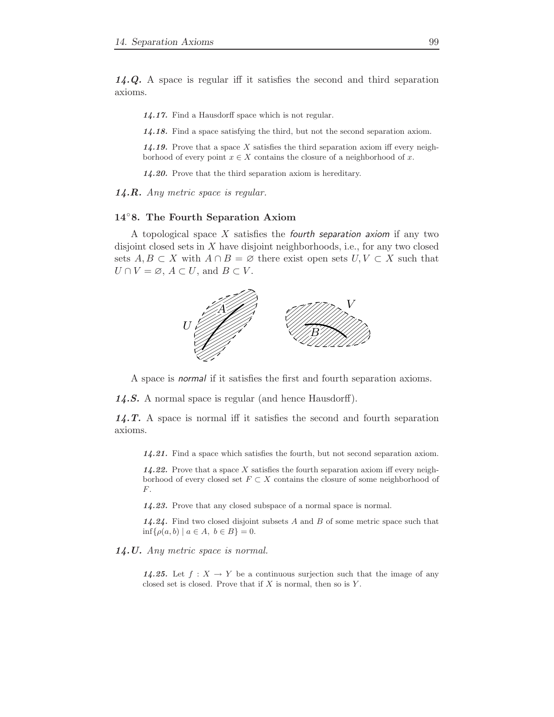14.Q. A space is regular iff it satisfies the second and third separation axioms.

14.17. Find a Hausdorff space which is not regular.

14.18. Find a space satisfying the third, but not the second separation axiom.

14.19. Prove that a space X satisfies the third separation axiom iff every neighborhood of every point  $x \in X$  contains the closure of a neighborhood of x.

14.20. Prove that the third separation axiom is hereditary.

 $14.R.$  Any metric space is regular.

#### 14◦8. The Fourth Separation Axiom

A topological space  $X$  satisfies the fourth separation axiom if any two disjoint closed sets in X have disjoint neighborhoods, i.e., for any two closed sets  $A, B \subset X$  with  $A \cap B = \emptyset$  there exist open sets  $U, V \subset X$  such that  $U \cap V = \emptyset$ ,  $A \subset U$ , and  $B \subset V$ .



A space is normal if it satisfies the first and fourth separation axioms.

14.S. A normal space is regular (and hence Hausdorff).

14.T. A space is normal iff it satisfies the second and fourth separation axioms.

14.21. Find a space which satisfies the fourth, but not second separation axiom.

14.22. Prove that a space X satisfies the fourth separation axiom iff every neighborhood of every closed set  $F \subset X$  contains the closure of some neighborhood of  $F$ .

14.23. Prove that any closed subspace of a normal space is normal.

14.24. Find two closed disjoint subsets  $A$  and  $B$  of some metric space such that  $\inf\{\rho(a, b) \mid a \in A, \ b \in B\} = 0.$ 

14.U. Any metric space is normal.

14.25. Let  $f: X \to Y$  be a continuous surjection such that the image of any closed set is closed. Prove that if  $X$  is normal, then so is  $Y$ .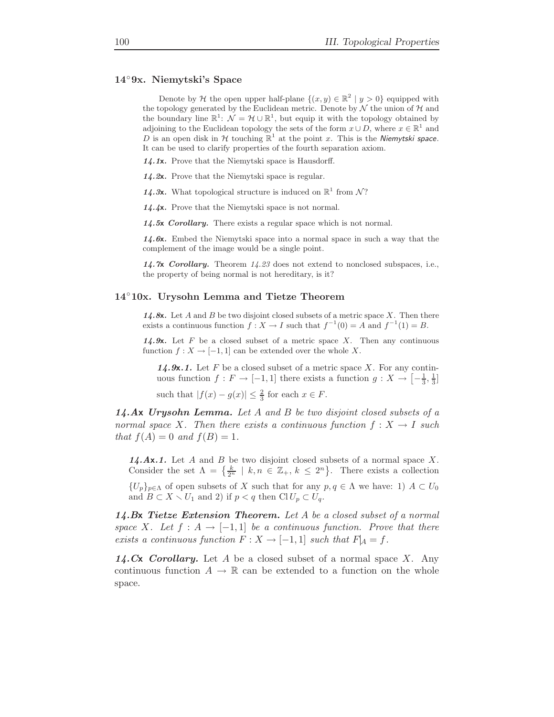#### 14◦9x. Niemytski's Space

Denote by H the open upper half-plane  $\{(x, y) \in \mathbb{R}^2 \mid y > 0\}$  equipped with the topology generated by the Euclidean metric. Denote by  $N$  the union of  $H$  and the boundary line  $\mathbb{R}^1$ :  $\mathcal{N} = \mathcal{H} \cup \mathbb{R}^1$ , but equip it with the topology obtained by adjoining to the Euclidean topology the sets of the form  $x \cup D$ , where  $x \in \mathbb{R}^1$  and D is an open disk in H touching  $\mathbb{R}^1$  at the point x. This is the Niemytski space. It can be used to clarify properties of the fourth separation axiom.

14.1x. Prove that the Niemytski space is Hausdorff.

- 14.2x. Prove that the Niemytski space is regular.
- 14.3x. What topological structure is induced on  $\mathbb{R}^1$  from N?
- 14.4x. Prove that the Niemytski space is not normal.

14.5x Corollary. There exists a regular space which is not normal.

14.6x. Embed the Niemytski space into a normal space in such a way that the complement of the image would be a single point.

14.7x Corollary. Theorem  $14.23$  does not extend to nonclosed subspaces, i.e., the property of being normal is not hereditary, is it?

#### 14◦10x. Urysohn Lemma and Tietze Theorem

14.8x. Let A and B be two disjoint closed subsets of a metric space X. Then there exists a continuous function  $f: X \to I$  such that  $f^{-1}(0) = A$  and  $f^{-1}(1) = B$ .

14.9x. Let F be a closed subset of a metric space X. Then any continuous function  $f: X \to [-1, 1]$  can be extended over the whole X.

**14.9x.1.** Let F be a closed subset of a metric space X. For any continuous function  $f: F \to [-1,1]$  there exists a function  $g: X \to \left[-\frac{1}{3}, \frac{1}{3}\right]$ 

such that  $|f(x) - g(x)| \leq \frac{2}{3}$  for each  $x \in F$ .

 $14.Ax$  Urysohn Lemma. Let A and B be two disjoint closed subsets of a normal space X. Then there exists a continuous function  $f: X \to I$  such that  $f(A) = 0$  and  $f(B) = 1$ .

**14.Ax.1.** Let A and B be two disjoint closed subsets of a normal space X. Consider the set  $\Lambda = \{\frac{k}{2^n} \mid k, n \in \mathbb{Z}_+, k \leq 2^n\}$ . There exists a collection  ${U_p}_{p \in \Lambda}$  of open subsets of X such that for any  $p, q \in \Lambda$  we have: 1)  $A \subset U_0$ and  $B \subset X \setminus U_1$  and 2) if  $p < q$  then Cl $U_p \subset U_q$ .

14.Bx Tietze Extension Theorem. Let A be a closed subset of a normal space X. Let  $f : A \rightarrow [-1,1]$  be a continuous function. Prove that there exists a continuous function  $F: X \to [-1,1]$  such that  $F_A = f$ .

14.Cx Corollary. Let A be a closed subset of a normal space X. Any continuous function  $A \to \mathbb{R}$  can be extended to a function on the whole space.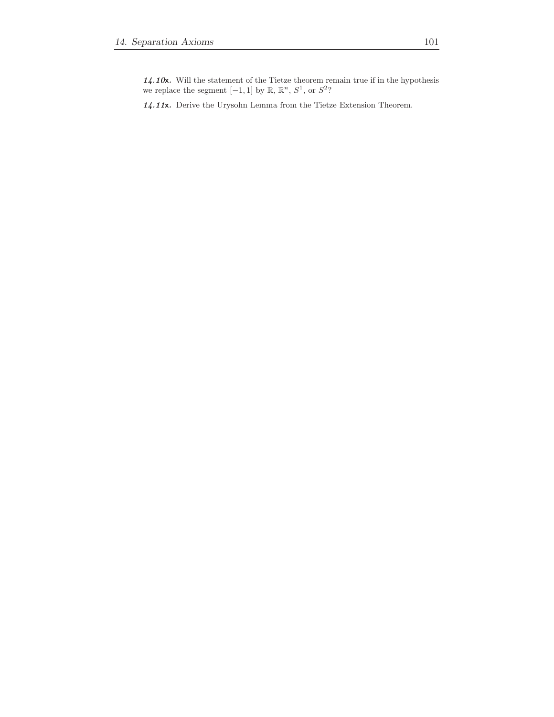$14.10x$ . Will the statement of the Tietze theorem remain true if in the hypothesis we replace the segment  $[-1, 1]$  by  $\mathbb{R}, \mathbb{R}^n, S^1$ , or  $S^2$ ?

14.11x. Derive the Urysohn Lemma from the Tietze Extension Theorem.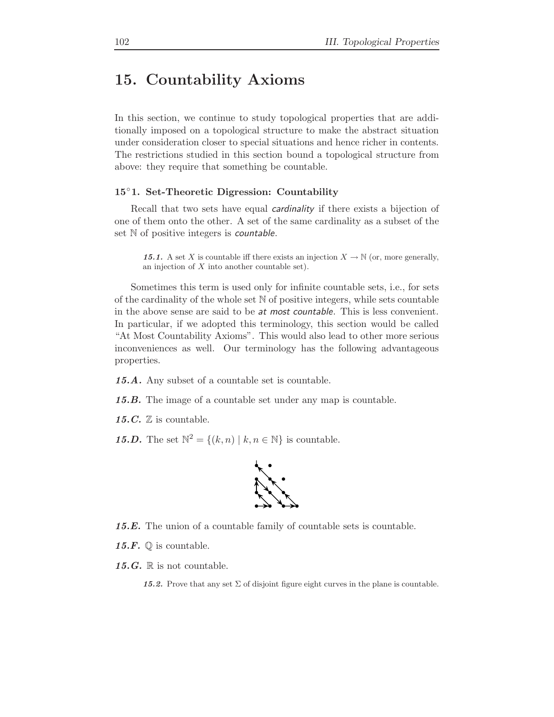# 15. Countability Axioms

In this section, we continue to study topological properties that are additionally imposed on a topological structure to make the abstract situation under consideration closer to special situations and hence richer in contents. The restrictions studied in this section bound a topological structure from above: they require that something be countable.

#### 15◦1. Set-Theoretic Digression: Countability

Recall that two sets have equal cardinality if there exists a bijection of one of them onto the other. A set of the same cardinality as a subset of the set N of positive integers is *countable*.

15.1. A set X is countable iff there exists an injection  $X \to \mathbb{N}$  (or, more generally, an injection of X into another countable set).

Sometimes this term is used only for infinite countable sets, i.e., for sets of the cardinality of the whole set  $N$  of positive integers, while sets countable in the above sense are said to be at most countable. This is less convenient. In particular, if we adopted this terminology, this section would be called "At Most Countability Axioms". This would also lead to other more serious inconveniences as well. Our terminology has the following advantageous properties.

15.A. Any subset of a countable set is countable.

15.B. The image of a countable set under any map is countable.

15.C.  $\mathbb Z$  is countable.

**15.D.** The set  $\mathbb{N}^2 = \{(k, n) \mid k, n \in \mathbb{N}\}\)$  is countable.



15.E. The union of a countable family of countable sets is countable.

15.F.  $\mathbb Q$  is countable.

15.G.  $\mathbb R$  is not countable.

15.2. Prove that any set  $\Sigma$  of disjoint figure eight curves in the plane is countable.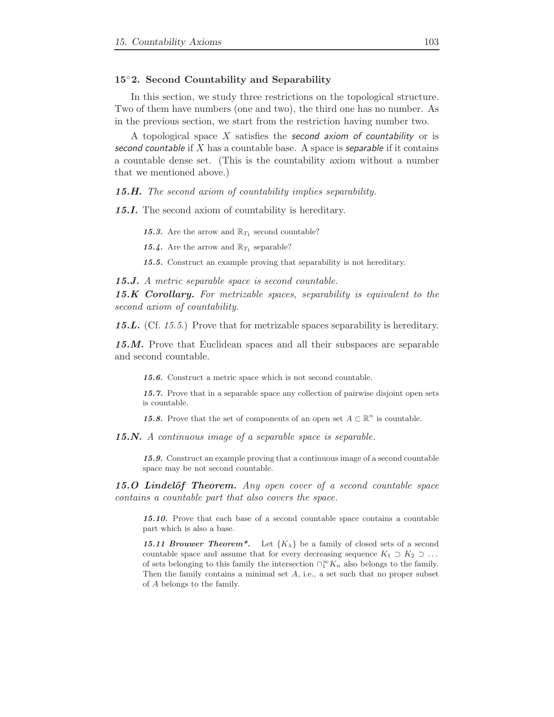### 15◦2. Second Countability and Separability

In this section, we study three restrictions on the topological structure. Two of them have numbers (one and two), the third one has no number. As in the previous section, we start from the restriction having number two.

A topological space X satisfies the **second** axiom of countability or is second countable if  $X$  has a countable base. A space is separable if it contains a countable dense set. (This is the countability axiom without a number that we mentioned above.)

15.H. The second axiom of countability implies separability.

15.I. The second axiom of countability is hereditary.

15.3. Are the arrow and  $\mathbb{R}_{T_1}$  second countable?

15.4. Are the arrow and  $\mathbb{R}_{T_1}$  separable?

15.5. Construct an example proving that separability is not hereditary.

15.J. A metric separable space is second countable.

15.K Corollary. For metrizable spaces, separability is equivalent to the second axiom of countability.

15.L. (Cf. 15.5.) Prove that for metrizable spaces separability is hereditary.

15.M. Prove that Euclidean spaces and all their subspaces are separable and second countable.

15.6. Construct a metric space which is not second countable.

15.7. Prove that in a separable space any collection of pairwise disjoint open sets is countable.

15.8. Prove that the set of components of an open set  $A \subset \mathbb{R}^n$  is countable.

15.N. A continuous image of a separable space is separable.

15.9. Construct an example proving that a continuous image of a second countable space may be not second countable.

**15.O Lindelöf Theorem.** Any open cover of a second countable space contains a countable part that also covers the space.

15.10. Prove that each base of a second countable space contains a countable part which is also a base.

15.11 Brouwer Theorem<sup>\*</sup>. Let  ${K_{\lambda}}$  be a family of closed sets of a second countable space and assume that for every decreasing sequence  $K_1 \supset K_2 \supset \ldots$ of sets belonging to this family the intersection  $\bigcap_{1}^{\infty} K_n$  also belongs to the family. Then the family contains a minimal set  $A$ , i.e., a set such that no proper subset of A belongs to the family.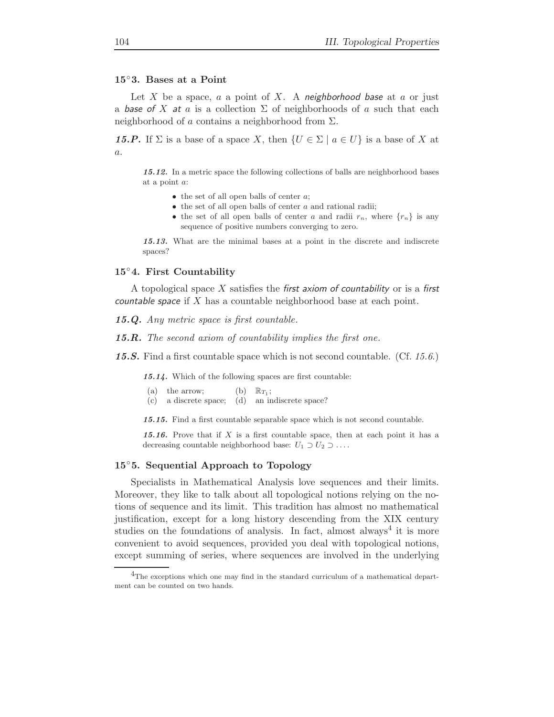#### 15◦3. Bases at a Point

Let X be a space,  $a$  a point of X. A neighborhood base at  $a$  or just a base of X at a is a collection  $\Sigma$  of neighborhoods of a such that each neighborhood of a contains a neighborhood from  $\Sigma$ .

**15.P.** If  $\Sigma$  is a base of a space X, then  $\{U \in \Sigma \mid a \in U\}$  is a base of X at a.

15.12. In a metric space the following collections of balls are neighborhood bases at a point a:

- $\bullet$  the set of all open balls of center  $a$ ;
- $\bullet$  the set of all open balls of center  $a$  and rational radii;
- the set of all open balls of center a and radii  $r_n$ , where  $\{r_n\}$  is any sequence of positive numbers converging to zero.

15.13. What are the minimal bases at a point in the discrete and indiscrete spaces?

#### 15◦4. First Countability

A topological space X satisfies the first axiom of countability or is a first countable space if  $X$  has a countable neighborhood base at each point.

15.Q. Any metric space is first countable.

15.R. The second axiom of countability implies the first one.

**15.S.** Find a first countable space which is not second countable. (Cf. 15.6.)

15.14. Which of the following spaces are first countable:

- (a) the arrow; (b)  $\mathbb{R}_{T_1}$ ;
- (c) a discrete space; (d) an indiscrete space?

15.15. Find a first countable separable space which is not second countable.

15.16. Prove that if X is a first countable space, then at each point it has a decreasing countable neighborhood base:  $U_1 \supset U_2 \supset \ldots$ .

#### 15◦5. Sequential Approach to Topology

Specialists in Mathematical Analysis love sequences and their limits. Moreover, they like to talk about all topological notions relying on the notions of sequence and its limit. This tradition has almost no mathematical justification, except for a long history descending from the XIX century studies on the foundations of analysis. In fact, almost always<sup>4</sup> it is more convenient to avoid sequences, provided you deal with topological notions, except summing of series, where sequences are involved in the underlying

<sup>&</sup>lt;sup>4</sup>The exceptions which one may find in the standard curriculum of a mathematical department can be counted on two hands.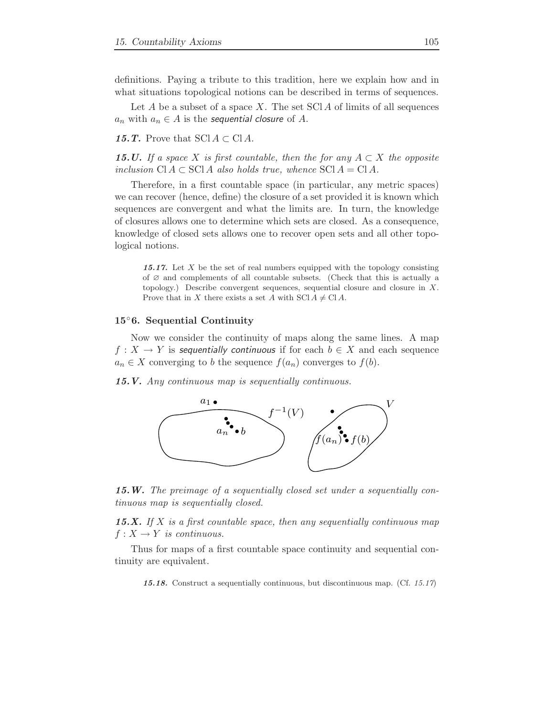definitions. Paying a tribute to this tradition, here we explain how and in what situations topological notions can be described in terms of sequences.

Let A be a subset of a space X. The set  $\text{SCIA}$  of limits of all sequences  $a_n$  with  $a_n \in A$  is the sequential closure of A.

15.T. Prove that  $\text{SCI } A \subset \text{CI } A$ .

**15.U.** If a space X is first countable, then the for any  $A \subset X$  the opposite inclusion  $\text{Cl } A \subset \text{SCI } A$  also holds true, whence  $\text{SCI } A = \text{CI } A$ .

Therefore, in a first countable space (in particular, any metric spaces) we can recover (hence, define) the closure of a set provided it is known which sequences are convergent and what the limits are. In turn, the knowledge of closures allows one to determine which sets are closed. As a consequence, knowledge of closed sets allows one to recover open sets and all other topological notions.

15.17. Let X be the set of real numbers equipped with the topology consisting of ∅ and complements of all countable subsets. (Check that this is actually a topology.) Describe convergent sequences, sequential closure and closure in X. Prove that in X there exists a set A with SCl  $A \neq C$ l A.

## 15◦6. Sequential Continuity

Now we consider the continuity of maps along the same lines. A map  $f: X \to Y$  is sequentially continuous if for each  $b \in X$  and each sequence  $a_n \in X$  converging to b the sequence  $f(a_n)$  converges to  $f(b)$ .

15.V. Any continuous map is sequentially continuous.



15.W. The preimage of a sequentially closed set under a sequentially continuous map is sequentially closed.

15.X. If X is a first countable space, then any sequentially continuous map  $f: X \to Y$  is continuous.

Thus for maps of a first countable space continuity and sequential continuity are equivalent.

15.18. Construct a sequentially continuous, but discontinuous map. (Cf. 15.17)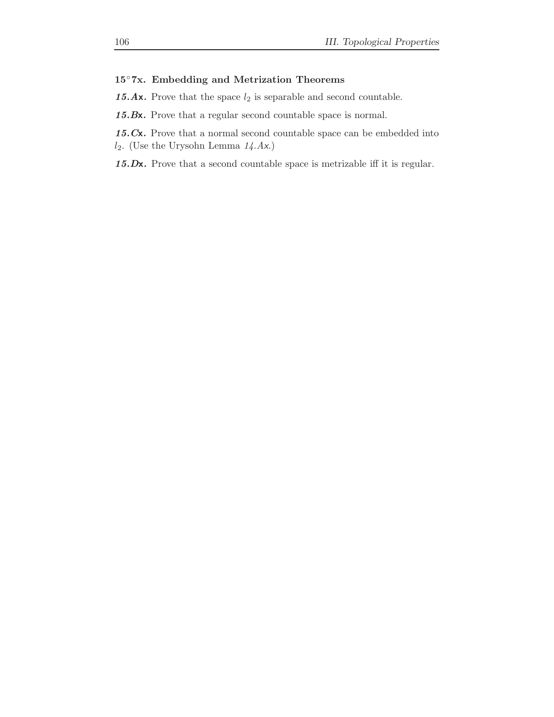# 15◦7x. Embedding and Metrization Theorems

15.Ax. Prove that the space  $l_2$  is separable and second countable.

15.Bx. Prove that a regular second countable space is normal.

15.Cx. Prove that a normal second countable space can be embedded into  $l_2$ . (Use the Urysohn Lemma  $14.Ax$ .)

15.Dx. Prove that a second countable space is metrizable iff it is regular.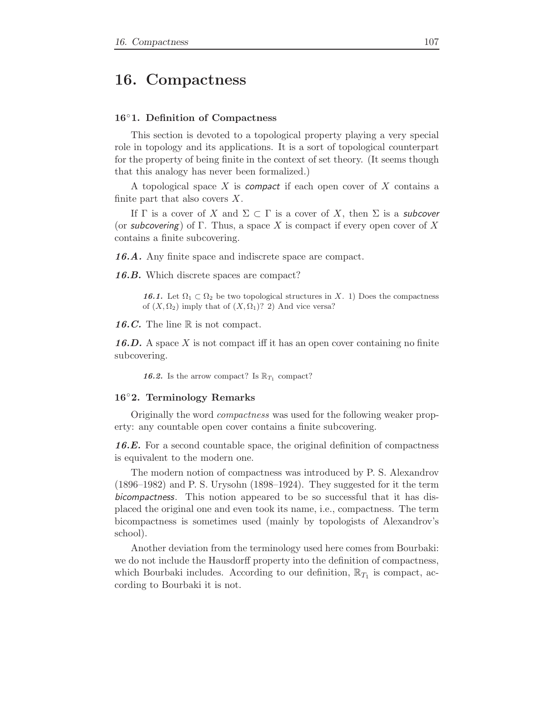# 16. Compactness

#### 16◦1. Definition of Compactness

This section is devoted to a topological property playing a very special role in topology and its applications. It is a sort of topological counterpart for the property of being finite in the context of set theory. (It seems though that this analogy has never been formalized.)

A topological space X is compact if each open cover of X contains a finite part that also covers  $X$ .

If  $\Gamma$  is a cover of X and  $\Sigma \subset \Gamma$  is a cover of X, then  $\Sigma$  is a subcover (or subcovering) of Γ. Thus, a space X is compact if every open cover of X contains a finite subcovering.

16.A. Any finite space and indiscrete space are compact.

16.B. Which discrete spaces are compact?

16.1. Let  $\Omega_1 \subset \Omega_2$  be two topological structures in X. 1) Does the compactness of  $(X, \Omega_2)$  imply that of  $(X, \Omega_1)$ ? 2) And vice versa?

16.C. The line  $\mathbb R$  is not compact.

**16.D.** A space X is not compact iff it has an open cover containing no finite subcovering.

**16.2.** Is the arrow compact? Is  $\mathbb{R}_{T_1}$  compact?

### 16◦2. Terminology Remarks

Originally the word compactness was used for the following weaker property: any countable open cover contains a finite subcovering.

16.E. For a second countable space, the original definition of compactness is equivalent to the modern one.

The modern notion of compactness was introduced by P. S. Alexandrov (1896–1982) and P. S. Urysohn (1898–1924). They suggested for it the term bicompactness. This notion appeared to be so successful that it has displaced the original one and even took its name, i.e., compactness. The term bicompactness is sometimes used (mainly by topologists of Alexandrov's school).

Another deviation from the terminology used here comes from Bourbaki: we do not include the Hausdorff property into the definition of compactness, which Bourbaki includes. According to our definition,  $\mathbb{R}_{T_1}$  is compact, according to Bourbaki it is not.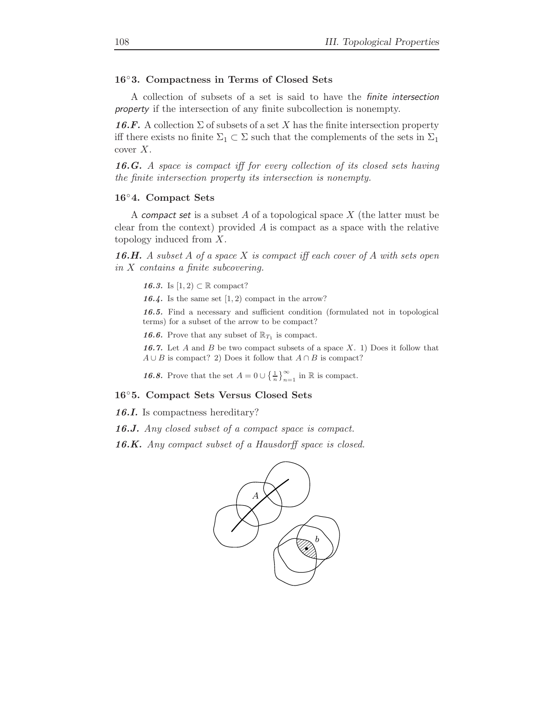# 16◦3. Compactness in Terms of Closed Sets

A collection of subsets of a set is said to have the finite intersection property if the intersection of any finite subcollection is nonempty.

**16.F.** A collection  $\Sigma$  of subsets of a set X has the finite intersection property iff there exists no finite  $\Sigma_1 \subset \Sigma$  such that the complements of the sets in  $\Sigma_1$ cover  $X$ .

16.G. A space is compact iff for every collection of its closed sets having the finite intersection property its intersection is nonempty.

#### 16◦4. Compact Sets

A compact set is a subset A of a topological space  $X$  (the latter must be clear from the context) provided  $\tilde{A}$  is compact as a space with the relative topology induced from X.

**16.H.** A subset A of a space X is compact iff each cover of A with sets open in X contains a finite subcovering.

- 16.3. Is  $[1, 2) \subset \mathbb{R}$  compact?
- 16.4. Is the same set  $(1, 2)$  compact in the arrow?

16.5. Find a necessary and sufficient condition (formulated not in topological terms) for a subset of the arrow to be compact?

**16.6.** Prove that any subset of  $\mathbb{R}_{T_1}$  is compact.

16.7. Let A and B be two compact subsets of a space  $X$ . 1) Does it follow that  $A \cup B$  is compact? 2) Does it follow that  $A \cap B$  is compact?

**16.8.** Prove that the set  $A = 0 \cup \left\{\frac{1}{n}\right\}_{n=1}^{\infty}$  in  $\mathbb{R}$  is compact.

### 16◦5. Compact Sets Versus Closed Sets

16.I. Is compactness hereditary?

16.J. Any closed subset of a compact space is compact.

16.K. Any compact subset of a Hausdorff space is closed.

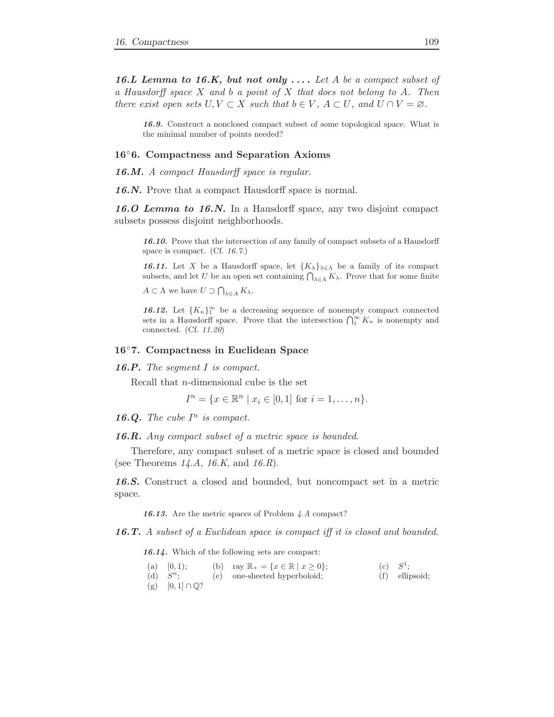16.L Lemma to 16.K, but not only  $\dots$  Let A be a compact subset of a Hausdorff space  $X$  and  $b$  a point of  $X$  that does not belong to  $A$ . Then there exist open sets  $U, V \subset X$  such that  $b \in V$ ,  $A \subset U$ , and  $U \cap V = \emptyset$ .

16.9. Construct a nonclosed compact subset of some topological space. What is the minimal number of points needed?

#### 16◦6. Compactness and Separation Axioms

16.M. A compact Hausdorff space is regular.

16.N. Prove that a compact Hausdorff space is normal.

16.O Lemma to 16.N. In a Hausdorff space, any two disjoint compact subsets possess disjoint neighborhoods.

16.10. Prove that the intersection of any family of compact subsets of a Hausdorff space is compact. (Cf. 16.7.)

**16.11.** Let X be a Hausdorff space, let  ${K_{\lambda}}_{\lambda \in \Lambda}$  be a family of its compact subsets, and let U be an open set containing  $\bigcap_{\lambda \in \Lambda} K_{\lambda}$ . Prove that for some finite

 $A \subset \Lambda$  we have  $U \supset \bigcap_{\lambda \in A} K_{\lambda}$ .

**16.12.** Let  ${K_n}_1^{\infty}$  be a decreasing sequence of nonempty compact connected sets in a Hausdorff space. Prove that the intersection  $\bigcap_{1}^{\infty} K_n$  is nonempty and connected. (Cf. 11.20)

#### 16◦7. Compactness in Euclidean Space

**16.P.** The segment  $I$  is compact.

Recall that n-dimensional cube is the set

$$
I^{n} = \{x \in \mathbb{R}^{n} \mid x_{i} \in [0,1] \text{ for } i = 1, ..., n\}.
$$

16.Q. The cube  $I^n$  is compact.

16.R. Any compact subset of a metric space is bounded.

Therefore, any compact subset of a metric space is closed and bounded (see Theorems  $14.A$ ,  $16.K$ , and  $16.R$ ).

16.S. Construct a closed and bounded, but noncompact set in a metric space.

16.13. Are the metric spaces of Problem 4.A compact?

16.T. A subset of a Euclidean space is compact iff it is closed and bounded.

16.14. Which of the following sets are compact:

| (a) $[0, 1);$                 | (b) ray $\mathbb{R}_+ = \{x \in \mathbb{R} \mid x \geq 0\};$ | (c) $S^1$ ; |                  |
|-------------------------------|--------------------------------------------------------------|-------------|------------------|
| (d) $S^n$ :                   | (e) one-sheeted hyperboloid;                                 |             | $(f)$ ellipsoid; |
| (g) $[0,1] \cap \mathbb{Q}$ ? |                                                              |             |                  |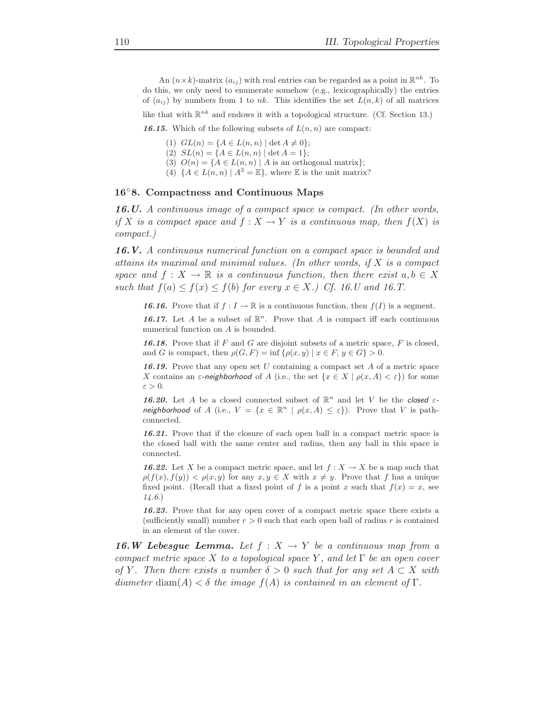An  $(n \times k)$ -matrix  $(a_{ij})$  with real entries can be regarded as a point in  $\mathbb{R}^{nk}$ . To do this, we only need to enumerate somehow (e.g., lexicographically) the entries of  $(a_{ij})$  by numbers from 1 to nk. This identifies the set  $L(n, k)$  of all matrices

like that with  $\mathbb{R}^{nk}$  and endows it with a topological structure. (Cf. Section 13.)

16.15. Which of the following subsets of  $L(n, n)$  are compact:

- (1)  $GL(n) = \{A \in L(n,n) \mid \det A \neq 0\};$
- (2)  $SL(n) = \{A \in L(n,n) \mid \det A = 1\};$
- (3)  $O(n) = \{A \in L(n,n) \mid A \text{ is an orthogonal matrix}\};$
- (4)  $\{A \in L(n,n) \mid A^2 = \mathbb{E}\},\$  where  $\mathbb E$  is the unit matrix?

#### 16◦8. Compactness and Continuous Maps

16.U. A continuous image of a compact space is compact. (In other words, if X is a compact space and  $f: X \to Y$  is a continuous map, then  $f(X)$  is compact.)

16.V. A continuous numerical function on a compact space is bounded and attains its maximal and minimal values. (In other words, if X is a compact space and  $f: X \to \mathbb{R}$  is a continuous function, then there exist  $a, b \in X$ such that  $f(a) \le f(x) \le f(b)$  for every  $x \in X$ .) Cf. 16.U and 16.T.

**16.16.** Prove that if  $f: I \to \mathbb{R}$  is a continuous function, then  $f(I)$  is a segment.

16.17. Let A be a subset of  $\mathbb{R}^n$ . Prove that A is compact iff each continuous numerical function on A is bounded.

16.18. Prove that if  $F$  and  $G$  are disjoint subsets of a metric space,  $F$  is closed, and G is compact, then  $\rho(G, F) = \inf \{\rho(x, y) \mid x \in F, y \in G\} > 0.$ 

**16.19.** Prove that any open set U containing a compact set A of a metric space X contains an  $\varepsilon$ -neighborhood of A (i.e., the set  $\{x \in X \mid \rho(x, A) < \varepsilon\}$ ) for some  $\varepsilon > 0$ .

16.20. Let A be a closed connected subset of  $\mathbb{R}^n$  and let V be the closed  $\varepsilon$ neighborhood of A (i.e.,  $V = \{x \in \mathbb{R}^n \mid \rho(x, A) \leq \varepsilon\}$ ). Prove that V is pathconnected.

16.21. Prove that if the closure of each open ball in a compact metric space is the closed ball with the same center and radius, then any ball in this space is connected.

**16.22.** Let X be a compact metric space, and let  $f: X \to X$  be a map such that  $\rho(f(x), f(y)) < \rho(x, y)$  for any  $x, y \in X$  with  $x \neq y$ . Prove that f has a unique fixed point. (Recall that a fixed point of f is a point x such that  $f(x) = x$ , see 14.6.)

16.23. Prove that for any open cover of a compact metric space there exists a (sufficiently small) number  $r > 0$  such that each open ball of radius r is contained in an element of the cover.

**16.W Lebesgue Lemma.** Let  $f: X \to Y$  be a continuous map from a compact metric space X to a topological space Y, and let  $\Gamma$  be an open cover of Y. Then there exists a number  $\delta > 0$  such that for any set  $A \subset X$  with diameter diam(A)  $< \delta$  the image  $f(A)$  is contained in an element of  $\Gamma$ .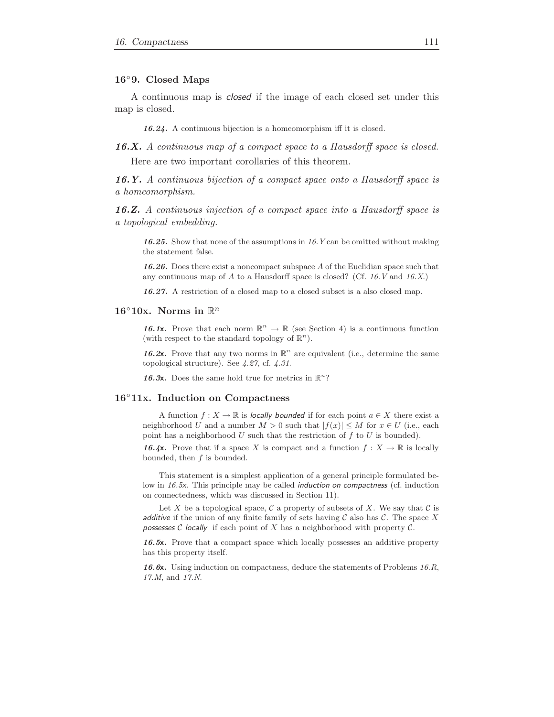#### 16◦9. Closed Maps

a homeomorphism.

A continuous map is closed if the image of each closed set under this map is closed.

16.24. A continuous bijection is a homeomorphism iff it is closed.

16.X. A continuous map of a compact space to a Hausdorff space is closed. Here are two important corollaries of this theorem.

16.Y. A continuous bijection of a compact space onto a Hausdorff space is

16.Z. A continuous injection of a compact space into a Hausdorff space is a topological embedding.

16.25. Show that none of the assumptions in 16.Y can be omitted without making the statement false.

16.26. Does there exist a noncompact subspace A of the Euclidian space such that any continuous map of A to a Hausdorff space is closed? (Cf.  $16. V$  and  $16. X$ .)

16.27. A restriction of a closed map to a closed subset is a also closed map.

# 16°10x. Norms in  $\mathbb{R}^n$

16.1x. Prove that each norm  $\mathbb{R}^n \to \mathbb{R}$  (see Section 4) is a continuous function (with respect to the standard topology of  $\mathbb{R}^n$ ).

16.2x. Prove that any two norms in  $\mathbb{R}^n$  are equivalent (i.e., determine the same topological structure). See 4.27, cf. 4.31.

16.3x. Does the same hold true for metrics in  $\mathbb{R}^n$ ?

#### 16◦11x. Induction on Compactness

A function  $f: X \to \mathbb{R}$  is locally bounded if for each point  $a \in X$  there exist a neighborhood U and a number  $M > 0$  such that  $|f(x)| \leq M$  for  $x \in U$  (i.e., each point has a neighborhood U such that the restriction of f to U is bounded).

16.4x. Prove that if a space X is compact and a function  $f: X \to \mathbb{R}$  is locally bounded, then  $f$  is bounded.

This statement is a simplest application of a general principle formulated below in 16.5x. This principle may be called induction on compactness (cf. induction on connectedness, which was discussed in Section 11).

Let X be a topological space,  $\mathcal C$  a property of subsets of X. We say that  $\mathcal C$  is additive if the union of any finite family of sets having  $C$  also has  $C$ . The space X possesses  $C$  locally if each point of  $X$  has a neighborhood with property  $C$ .

16.5x. Prove that a compact space which locally possesses an additive property has this property itself.

16.6x. Using induction on compactness, deduce the statements of Problems  $16.R$ , 17.M, and 17.N.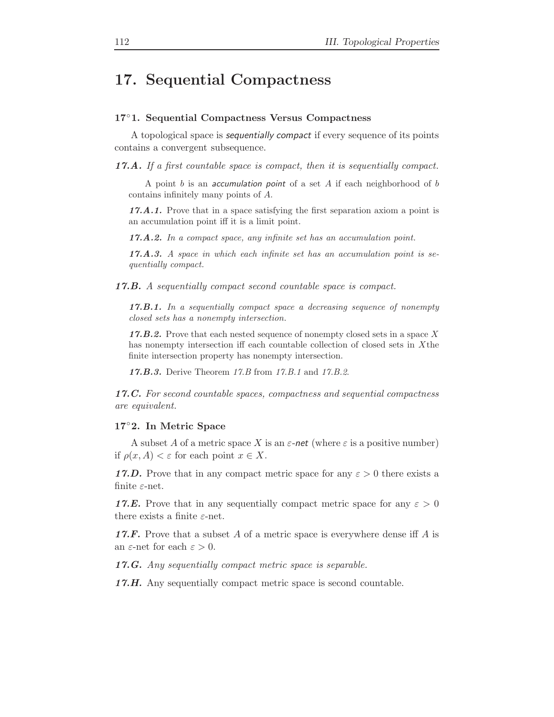# 17. Sequential Compactness

### 17◦1. Sequential Compactness Versus Compactness

A topological space is sequentially compact if every sequence of its points contains a convergent subsequence.

17.A. If a first countable space is compact, then it is sequentially compact.

A point  $b$  is an *accumulation point* of a set  $A$  if each neighborhood of  $b$ contains infinitely many points of A.

17.A.1. Prove that in a space satisfying the first separation axiom a point is an accumulation point iff it is a limit point.

17.A.2. In a compact space, any infinite set has an accumulation point.

17.A.3. A space in which each infinite set has an accumulation point is sequentially compact.

17.B. A sequentially compact second countable space is compact.

17.B.1. In a sequentially compact space a decreasing sequence of nonempty closed sets has a nonempty intersection.

17.B.2. Prove that each nested sequence of nonempty closed sets in a space  $X$ has nonempty intersection iff each countable collection of closed sets in Xthe finite intersection property has nonempty intersection.

17.B.3. Derive Theorem 17.B from 17.B.1 and 17.B.2.

17.C. For second countable spaces, compactness and sequential compactness are equivalent.

#### 17◦2. In Metric Space

A subset A of a metric space X is an  $\varepsilon$ -net (where  $\varepsilon$  is a positive number) if  $\rho(x, A) < \varepsilon$  for each point  $x \in X$ .

17.D. Prove that in any compact metric space for any  $\varepsilon > 0$  there exists a finite  $\varepsilon$ -net.

**17.E.** Prove that in any sequentially compact metric space for any  $\varepsilon > 0$ there exists a finite  $\varepsilon$ -net.

**17.F.** Prove that a subset A of a metric space is everywhere dense iff A is an  $\varepsilon$ -net for each  $\varepsilon > 0$ .

17.G. Any sequentially compact metric space is separable.

17.H. Any sequentially compact metric space is second countable.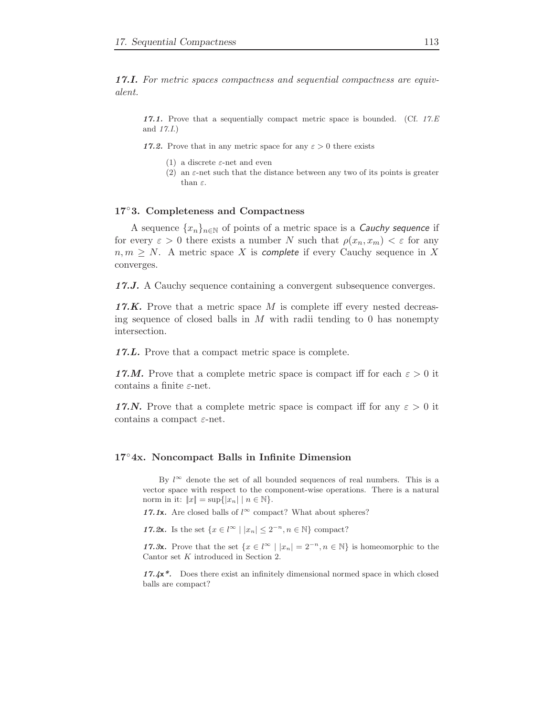17.I. For metric spaces compactness and sequential compactness are equivalent.

17.1. Prove that a sequentially compact metric space is bounded. (Cf.  $17.E$ ) and 17.I.)

17.2. Prove that in any metric space for any  $\varepsilon > 0$  there exists

- (1) a discrete  $\varepsilon$ -net and even
- (2) an  $\varepsilon$ -net such that the distance between any two of its points is greater than  $\varepsilon$ .

# 17◦3. Completeness and Compactness

A sequence  $\{x_n\}_{n\in\mathbb{N}}$  of points of a metric space is a *Cauchy sequence* if for every  $\varepsilon > 0$  there exists a number N such that  $\rho(x_n, x_m) < \varepsilon$  for any  $n, m \geq N$ . A metric space X is complete if every Cauchy sequence in X converges.

17.J. A Cauchy sequence containing a convergent subsequence converges.

**17.K.** Prove that a metric space  $M$  is complete iff every nested decreasing sequence of closed balls in  $M$  with radii tending to 0 has nonempty intersection.

17.L. Prove that a compact metric space is complete.

17.M. Prove that a complete metric space is compact iff for each  $\varepsilon > 0$  it contains a finite  $\varepsilon$ -net.

17.N. Prove that a complete metric space is compact iff for any  $\varepsilon > 0$  it contains a compact  $\varepsilon$ -net.

# 17◦4x. Noncompact Balls in Infinite Dimension

By  $l^{\infty}$  denote the set of all bounded sequences of real numbers. This is a vector space with respect to the component-wise operations. There is a natural norm in it:  $||x|| = \sup{ |x_n| | n \in \mathbb{N} }$ .

17.1x. Are closed balls of  $l^{\infty}$  compact? What about spheres?

17.2x. Is the set  $\{x \in l^{\infty} \mid |x_n| \leq 2^{-n}, n \in \mathbb{N}\}\)$  compact?

17.3x. Prove that the set  $\{x \in l^{\infty} \mid |x_n| = 2^{-n}, n \in \mathbb{N}\}\$ is homeomorphic to the Cantor set K introduced in Section 2.

 $17.4x^*$ . Does there exist an infinitely dimensional normed space in which closed balls are compact?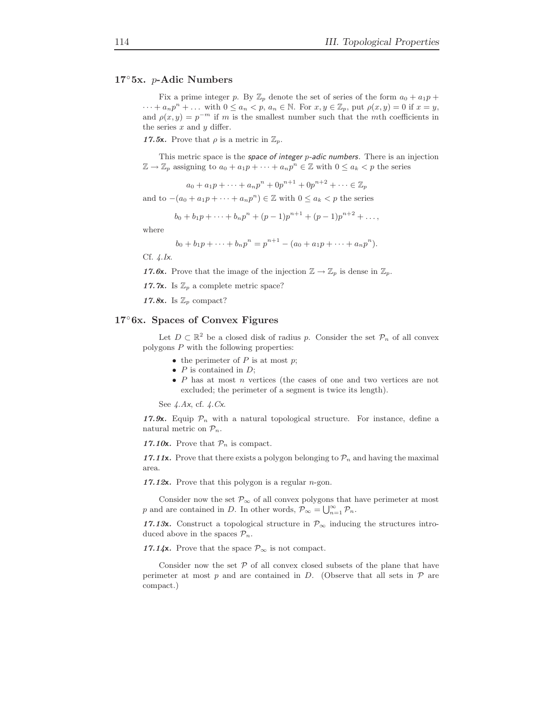### 17◦5x. p-Adic Numbers

Fix a prime integer p. By  $\mathbb{Z}_p$  denote the set of series of the form  $a_0 + a_1 p +$  $\cdots + a_n p^n + \ldots$  with  $0 \le a_n < p$ ,  $a_n \in \mathbb{N}$ . For  $x, y \in \mathbb{Z}_p$ , put  $\rho(x, y) = 0$  if  $x = y$ , and  $\rho(x, y) = p^{-m}$  if m is the smallest number such that the mth coefficients in the series  $x$  and  $y$  differ.

17.5x. Prove that  $\rho$  is a metric in  $\mathbb{Z}_p$ .

This metric space is the space of integer  $p$ -adic numbers. There is an injection  $\mathbb{Z} \to \mathbb{Z}_p$  assigning to  $a_0 + a_1 p + \cdots + a_n p^n \in \mathbb{Z}$  with  $0 \le a_k < p$  the series

$$
a_0 + a_1 p + \dots + a_n p^n + 0p^{n+1} + 0p^{n+2} + \dots \in \mathbb{Z}_p
$$

and to  $-(a_0 + a_1p + \cdots + a_np^n) \in \mathbb{Z}$  with  $0 \le a_k < p$  the series

$$
b_0+b_1p+\cdots+b_np^n+(p-1)p^{n+1}+(p-1)p^{n+2}+\ldots,
$$

where

$$
b_0 + b_1 p + \dots + b_n p^n = p^{n+1} - (a_0 + a_1 p + \dots + a_n p^n).
$$

Cf. 4.Ix.

17.6x. Prove that the image of the injection  $\mathbb{Z} \to \mathbb{Z}_p$  is dense in  $\mathbb{Z}_p$ .

17.7x. Is  $\mathbb{Z}_p$  a complete metric space?

17.8x. Is  $\mathbb{Z}_p$  compact?

### 17◦6x. Spaces of Convex Figures

Let  $D \subset \mathbb{R}^2$  be a closed disk of radius p. Consider the set  $\mathcal{P}_n$  of all convex polygons P with the following properties:

- the perimeter of  $P$  is at most  $p$ ;
- $P$  is contained in  $D$ ;
- $P$  has at most  $n$  vertices (the cases of one and two vertices are not excluded; the perimeter of a segment is twice its length).

See 4.Ax, cf. 4.Cx.

17.9x. Equip  $P_n$  with a natural topological structure. For instance, define a natural metric on  $\mathcal{P}_n$ .

17.10x. Prove that  $\mathcal{P}_n$  is compact.

17.11x. Prove that there exists a polygon belonging to  $\mathcal{P}_n$  and having the maximal area.

17.12 $x$ . Prove that this polygon is a regular *n*-gon.

Consider now the set  $\mathcal{P}_{\infty}$  of all convex polygons that have perimeter at most p and are contained in D. In other words,  $\mathcal{P}_{\infty} = \bigcup_{n=1}^{\infty} \mathcal{P}_n$ .

17.13x. Construct a topological structure in  $\mathcal{P}_{\infty}$  inducing the structures introduced above in the spaces  $\mathcal{P}_n$ .

17.14x. Prove that the space  $\mathcal{P}_{\infty}$  is not compact.

Consider now the set  $P$  of all convex closed subsets of the plane that have perimeter at most  $p$  and are contained in  $D$ . (Observe that all sets in  $\mathcal P$  are compact.)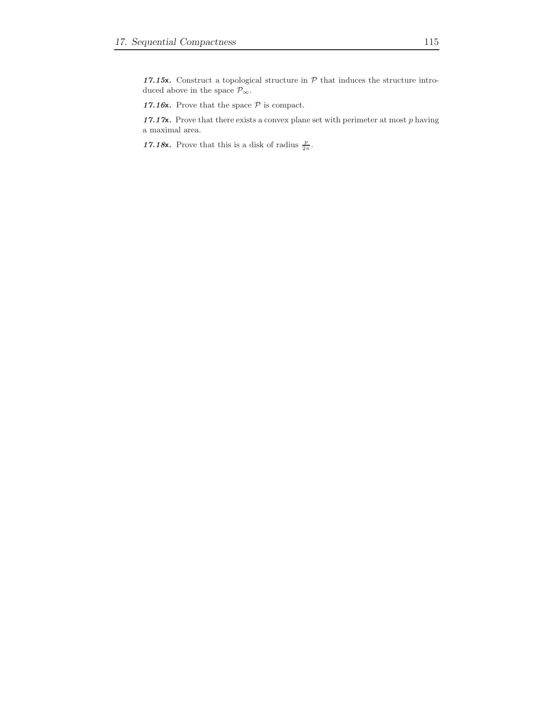17.15x. Construct a topological structure in  $P$  that induces the structure introduced above in the space  $\mathcal{P}_\infty.$ 

17.16x. Prove that the space  $P$  is compact.

17.17**x**. Prove that there exists a convex plane set with perimeter at most  $p$  having a maximal area.

17.18x. Prove that this is a disk of radius  $\frac{p}{2\pi}$ .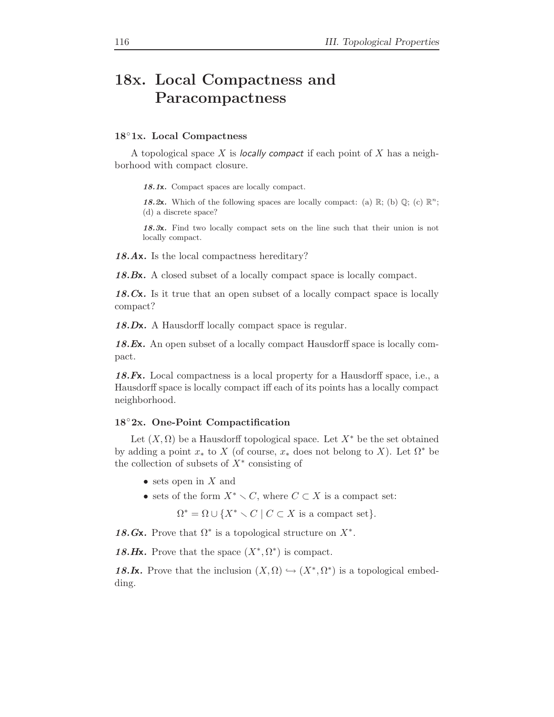# 18x. Local Compactness and Paracompactness

#### 18◦1x. Local Compactness

A topological space X is locally compact if each point of X has a neighborhood with compact closure.

18.1x. Compact spaces are locally compact.

18.2x. Which of the following spaces are locally compact: (a)  $\mathbb{R}$ ; (b)  $\mathbb{Q}$ ; (c)  $\mathbb{R}^{n}$ ; (d) a discrete space?

18.3x. Find two locally compact sets on the line such that their union is not locally compact.

18.Ax. Is the local compactness hereditary?

18.Bx. A closed subset of a locally compact space is locally compact.

18. Cx. Is it true that an open subset of a locally compact space is locally compact?

18.Dx. A Hausdorff locally compact space is regular.

18.Ex. An open subset of a locally compact Hausdorff space is locally compact.

18.Fx. Local compactness is a local property for a Hausdorff space, i.e., a Hausdorff space is locally compact iff each of its points has a locally compact neighborhood.

#### 18◦2x. One-Point Compactification

Let  $(X, \Omega)$  be a Hausdorff topological space. Let  $X^*$  be the set obtained by adding a point  $x_*$  to X (of course,  $x_*$  does not belong to X). Let  $\Omega^*$  be the collection of subsets of  $X^*$  consisting of

- sets open in  $X$  and
- sets of the form  $X^* \setminus C$ , where  $C \subset X$  is a compact set:

 $\Omega^* = \Omega \cup \{X^* \setminus C \mid C \subset X \text{ is a compact set}\}.$ 

18.Gx. Prove that  $\Omega^*$  is a topological structure on  $X^*$ .

18.Hx. Prove that the space  $(X^*, \Omega^*)$  is compact.

18.Ix. Prove that the inclusion  $(X, \Omega) \hookrightarrow (X^*, \Omega^*)$  is a topological embedding.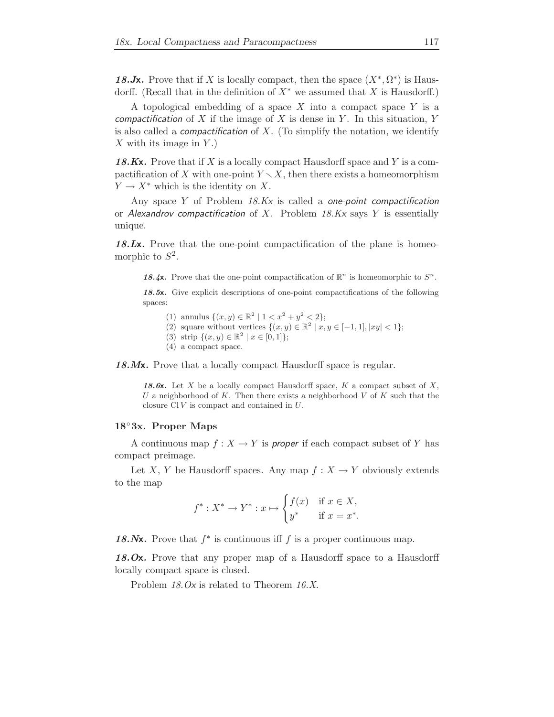18. Jx. Prove that if X is locally compact, then the space  $(X^*, \Omega^*)$  is Hausdorff. (Recall that in the definition of  $X^*$  we assumed that X is Hausdorff.)

A topological embedding of a space  $X$  into a compact space  $Y$  is a compactification of  $X$  if the image of  $X$  is dense in  $Y$ . In this situation,  $Y$ is also called a *compactification* of  $X$ . (To simplify the notation, we identify  $X$  with its image in  $Y$ .)

18.Kx. Prove that if X is a locally compact Hausdorff space and Y is a compactification of X with one-point  $Y \setminus X$ , then there exists a homeomorphism  $Y \to X^*$  which is the identity on X.

Any space Y of Problem 18.Kx is called a one-point compactification or Alexandrov compactification of  $X$ . Problem 18. $Kx$  says  $Y$  is essentially unique.

18.Lx. Prove that the one-point compactification of the plane is homeomorphic to  $S^2$ .

18.4x. Prove that the one-point compactification of  $\mathbb{R}^n$  is homeomorphic to  $S^n$ .

18.5x. Give explicit descriptions of one-point compactifications of the following spaces:

- (1) annulus  $\{(x, y) \in \mathbb{R}^2 \mid 1 < x^2 + y^2 < 2\};$
- (2) square without vertices  $\{(x, y) \in \mathbb{R}^2 \mid x, y \in [-1, 1], |xy| < 1\};$
- (3) strip  $\{(x, y) \in \mathbb{R}^2 \mid x \in [0, 1]\};$
- (4) a compact space.

18. Mx. Prove that a locally compact Hausdorff space is regular.

18.6x. Let X be a locally compact Hausdorff space,  $K$  a compact subset of  $X$ , U a neighborhood of K. Then there exists a neighborhood V of K such that the closure Cl V is compact and contained in U.

# 18◦3x. Proper Maps

A continuous map  $f: X \to Y$  is *proper* if each compact subset of Y has compact preimage.

Let X, Y be Hausdorff spaces. Any map  $f: X \to Y$  obviously extends to the map

$$
f^*: X^* \to Y^* : x \mapsto \begin{cases} f(x) & \text{if } x \in X, \\ y^* & \text{if } x = x^*. \end{cases}
$$

18.Nx. Prove that  $f^*$  is continuous iff f is a proper continuous map.

18.Ox. Prove that any proper map of a Hausdorff space to a Hausdorff locally compact space is closed.

Problem 18.0x is related to Theorem 16.X.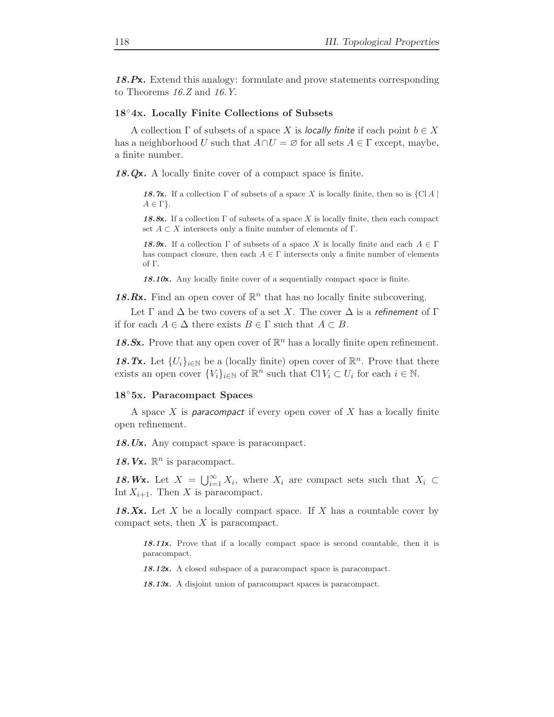18.Px. Extend this analogy: formulate and prove statements corresponding to Theorems 16.Z and 16.Y.

### 18◦4x. Locally Finite Collections of Subsets

A collection  $\Gamma$  of subsets of a space X is locally finite if each point  $b \in X$ has a neighborhood U such that  $A \cap U = \emptyset$  for all sets  $A \in \Gamma$  except, maybe, a finite number.

18.Qx. A locally finite cover of a compact space is finite.

18.7x. If a collection  $\Gamma$  of subsets of a space X is locally finite, then so is  $\{Cl A \mid$  $A \in \Gamma$ .

18.8x. If a collection  $\Gamma$  of subsets of a space X is locally finite, then each compact set  $A \subset X$  intersects only a finite number of elements of  $\Gamma$ .

18.9x. If a collection  $\Gamma$  of subsets of a space X is locally finite and each  $A \in \Gamma$ has compact closure, then each  $A \in \Gamma$  intersects only a finite number of elements of Γ.

18.10 $x$ . Any locally finite cover of a sequentially compact space is finite.

18.Rx. Find an open cover of  $\mathbb{R}^n$  that has no locally finite subcovering.

Let  $\Gamma$  and  $\Delta$  be two covers of a set X. The cover  $\Delta$  is a refinement of  $\Gamma$ if for each  $A \in \Delta$  there exists  $B \in \Gamma$  such that  $A \subset B$ .

18.Sx. Prove that any open cover of  $\mathbb{R}^n$  has a locally finite open refinement.

18.Tx. Let  $\{U_i\}_{i\in\mathbb{N}}$  be a (locally finite) open cover of  $\mathbb{R}^n$ . Prove that there exists an open cover  $\{V_i\}_{i\in\mathbb{N}}$  of  $\mathbb{R}^n$  such that  $\text{Cl } V_i \subset U_i$  for each  $i \in \mathbb{N}$ .

#### 18◦5x. Paracompact Spaces

A space  $X$  is *paracompact* if every open cover of  $X$  has a locally finite open refinement.

18.Ux. Any compact space is paracompact.

18. Vx.  $\mathbb{R}^n$  is paracompact.

18.Wx. Let  $X = \bigcup_{i=1}^{\infty} X_i$ , where  $X_i$  are compact sets such that  $X_i \subset$ Int  $X_{i+1}$ . Then X is paracompact.

18.Xx. Let X be a locally compact space. If X has a countable cover by compact sets, then X is paracompact.

18.11x. Prove that if a locally compact space is second countable, then it is paracompact.

18.12x. A closed subspace of a paracompact space is paracompact.

18.13x. A disjoint union of paracompact spaces is paracompact.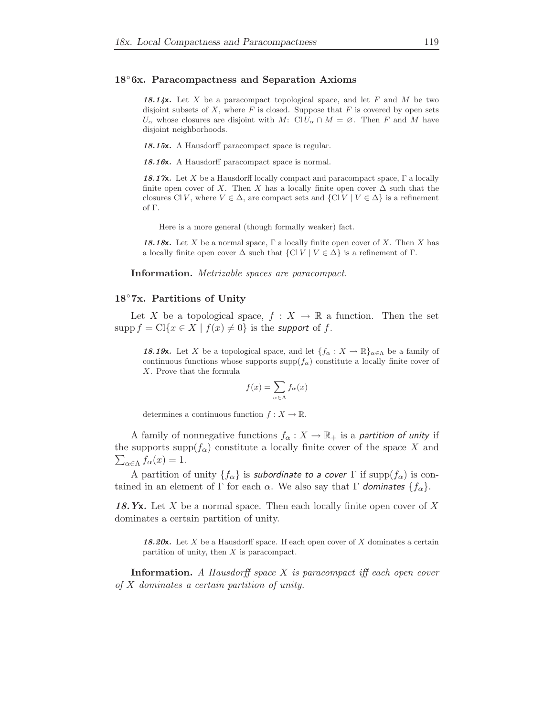#### 18◦6x. Paracompactness and Separation Axioms

18.14x. Let X be a paracompact topological space, and let F and M be two disjoint subsets of  $X$ , where  $F$  is closed. Suppose that  $F$  is covered by open sets  $U_{\alpha}$  whose closures are disjoint with M: Cl  $U_{\alpha} \cap M = \emptyset$ . Then F and M have disjoint neighborhoods.

18.15x. A Hausdorff paracompact space is regular.

18.16x. A Hausdorff paracompact space is normal.

18.17x. Let X be a Hausdorff locally compact and paracompact space,  $\Gamma$  a locally finite open cover of X. Then X has a locally finite open cover  $\Delta$  such that the closures Cl V, where  $V \in \Delta$ , are compact sets and  $\{ \text{Cl} V \mid V \in \Delta \}$  is a refinement of Γ.

Here is a more general (though formally weaker) fact.

18.18x. Let X be a normal space,  $\Gamma$  a locally finite open cover of X. Then X has a locally finite open cover  $\Delta$  such that  $\{Cl\, V \mid V \in \Delta\}$  is a refinement of  $\Gamma$ .

Information. Metrizable spaces are paracompact.

#### 18◦7x. Partitions of Unity

Let X be a topological space,  $f : X \to \mathbb{R}$  a function. Then the set  $\text{supp } f = \text{Cl}\{x \in X \mid f(x) \neq 0\}$  is the *support* of f.

**18.19x.** Let X be a topological space, and let  $\{f_{\alpha}: X \to \mathbb{R}\}_{\alpha \in \Lambda}$  be a family of continuous functions whose supports  $\text{supp}(f_\alpha)$  constitute a locally finite cover of X. Prove that the formula

$$
f(x) = \sum_{\alpha \in \Lambda} f_{\alpha}(x)
$$

determines a continuous function  $f: X \to \mathbb{R}$ .

A family of nonnegative functions  $f_{\alpha}: X \to \mathbb{R}_+$  is a partition of unity if the supports  $\text{supp}(f_\alpha)$  constitute a locally finite cover of the space X and  $\sum_{\alpha \in \Lambda} f_{\alpha}(x) = 1.$ 

A partition of unity  $\{f_\alpha\}$  is subordinate to a cover  $\Gamma$  if supp $(f_\alpha)$  is contained in an element of Γ for each α. We also say that Γ dominates  ${f_\alpha}$ .

18. Yx. Let X be a normal space. Then each locally finite open cover of X dominates a certain partition of unity.

18.20 $x$ . Let X be a Hausdorff space. If each open cover of X dominates a certain partition of unity, then X is paracompact.

**Information.** A Hausdorff space  $X$  is paracompact iff each open cover of X dominates a certain partition of unity.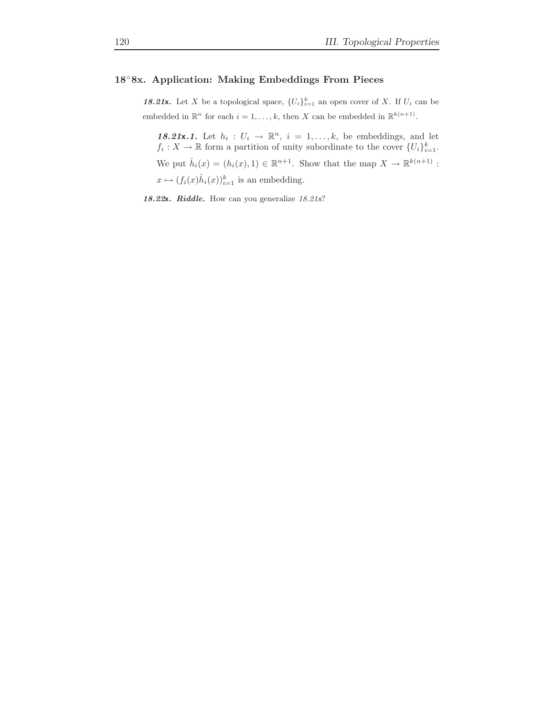# 18◦8x. Application: Making Embeddings From Pieces

**18.21x.** Let X be a topological space,  $\{U_i\}_{i=1}^k$  an open cover of X. If  $U_i$  can be embedded in  $\mathbb{R}^n$  for each  $i = 1, ..., k$ , then X can be embedded in  $\mathbb{R}^{k(n+1)}$ .

18.21x.1. Let  $h_i: U_i \to \mathbb{R}^n$ ,  $i = 1, ..., k$ , be embeddings, and let  $f_i: X \to \mathbb{R}$  form a partition of unity subordinate to the cover  $\{U_i\}_{i=1}^k$ . We put  $\hat{h}_i(x) = (h_i(x), 1) \in \mathbb{R}^{n+1}$ . Show that the map  $X \to \mathbb{R}^{k(n+1)}$ :  $x \mapsto (f_i(x)\hat{h}_i(x))_{i=1}^k$  is an embedding.

18.22x. Riddle. How can you generalize 18.21x?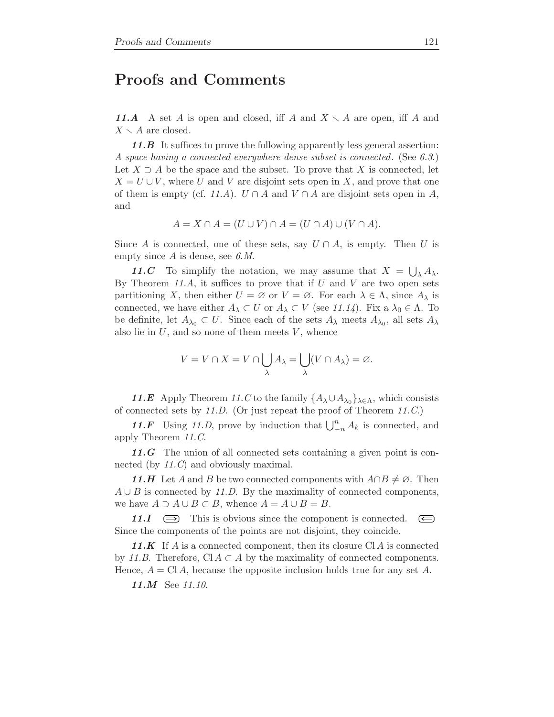# Proofs and Comments

11.A A set A is open and closed, iff A and  $X \setminus A$  are open, iff A and  $X \setminus A$  are closed.

11.B It suffices to prove the following apparently less general assertion: A space having a connected everywhere dense subset is connected. (See 6.3.) Let  $X \supseteq A$  be the space and the subset. To prove that X is connected, let  $X = U \cup V$ , where U and V are disjoint sets open in X, and prove that one of them is empty (cf. 11.A).  $U \cap A$  and  $V \cap A$  are disjoint sets open in A, and

$$
A = X \cap A = (U \cup V) \cap A = (U \cap A) \cup (V \cap A).
$$

Since A is connected, one of these sets, say  $U \cap A$ , is empty. Then U is empty since  $A$  is dense, see 6. $M$ .

11.C To simplify the notation, we may assume that  $X = \bigcup_{\lambda} A_{\lambda}$ . By Theorem 11.A, it suffices to prove that if  $U$  and  $V$  are two open sets partitioning X, then either  $U = \emptyset$  or  $V = \emptyset$ . For each  $\lambda \in \Lambda$ , since  $A_{\lambda}$  is connected, we have either  $A_{\lambda} \subset U$  or  $A_{\lambda} \subset V$  (see 11.14). Fix a  $\lambda_0 \in \Lambda$ . To be definite, let  $A_{\lambda_0} \subset U$ . Since each of the sets  $A_{\lambda}$  meets  $A_{\lambda_0}$ , all sets  $A_{\lambda}$ also lie in  $U$ , and so none of them meets  $V$ , whence

$$
V = V \cap X = V \cap \bigcup_{\lambda} A_{\lambda} = \bigcup_{\lambda} (V \cap A_{\lambda}) = \varnothing.
$$

11.E Apply Theorem 11.C to the family  $\{A_{\lambda} \cup A_{\lambda_0}\}_{{\lambda \in \Lambda}}$ , which consists of connected sets by 11.D. (Or just repeat the proof of Theorem 11.C.)

11.F Using 11.D, prove by induction that  $\bigcup_{n=1}^{n} A_k$  is connected, and apply Theorem 11.C.

11.G The union of all connected sets containing a given point is connected (by 11.C) and obviously maximal.

11.H Let A and B be two connected components with  $A \cap B \neq \emptyset$ . Then  $A \cup B$  is connected by 11.D. By the maximality of connected components, we have  $A \supset A \cup B \subset B$ , whence  $A = A \cup B = B$ .

11. $I \quad \implies \quad$  This is obvious since the component is connected.  $\circled{=}$ Since the components of the points are not disjoint, they coincide.

11.K If A is a connected component, then its closure  $\mathbb{C}[A]$  is connected by 11.B. Therefore, Cl  $A \subset A$  by the maximality of connected components. Hence,  $A = \text{Cl } A$ , because the opposite inclusion holds true for any set A.

11.M See 11.10.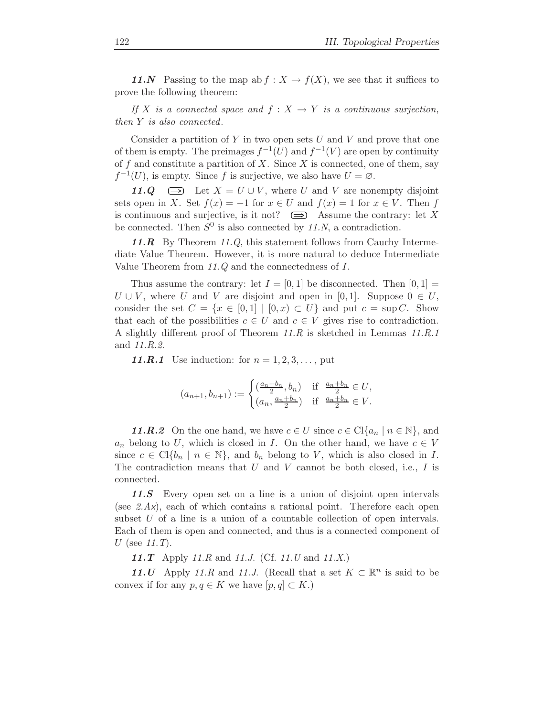11.N Passing to the map ab  $f: X \to f(X)$ , we see that it suffices to prove the following theorem:

If X is a connected space and  $f: X \to Y$  is a continuous surjection, then Y is also connected.

Consider a partition of  $Y$  in two open sets  $U$  and  $V$  and prove that one of them is empty. The preimages  $f^{-1}(U)$  and  $f^{-1}(V)$  are open by continuity of f and constitute a partition of X. Since X is connected, one of them, say  $f^{-1}(U)$ , is empty. Since f is surjective, we also have  $U = \emptyset$ .

11.Q  $\implies$  Let  $X = U \cup V$ , where U and V are nonempty disjoint sets open in X. Set  $f(x) = -1$  for  $x \in U$  and  $f(x) = 1$  for  $x \in V$ . Then f is continuous and surjective, is it not?  $\implies$  Assume the contrary: let X be connected. Then  $S^0$  is also connected by 11.N, a contradiction.

11. $R$  By Theorem 11.Q, this statement follows from Cauchy Intermediate Value Theorem. However, it is more natural to deduce Intermediate Value Theorem from 11.Q and the connectedness of I.

Thus assume the contrary: let  $I = [0, 1]$  be disconnected. Then  $[0, 1] =$  $U \cup V$ , where U and V are disjoint and open in [0, 1]. Suppose  $0 \in U$ , consider the set  $C = \{x \in [0,1] \mid [0,x) \subset U\}$  and put  $c = \sup C$ . Show that each of the possibilities  $c \in U$  and  $c \in V$  gives rise to contradiction. A slightly different proof of Theorem 11.R is sketched in Lemmas 11.R.1 and 11.R.2.

11.R.1 Use induction: for  $n = 1, 2, 3, \ldots$ , put

$$
(a_{n+1}, b_{n+1}) := \begin{cases} \left(\frac{a_n + b_n}{2}, b_n\right) & \text{if } \frac{a_n + b_n}{2} \in U, \\ \left(a_n, \frac{a_n + b_n}{2}\right) & \text{if } \frac{a_n + b_n}{2} \in V. \end{cases}
$$

11.R.2 On the one hand, we have  $c \in U$  since  $c \in Cl{a_n \mid n \in \mathbb{N}}$ , and  $a_n$  belong to U, which is closed in I. On the other hand, we have  $c \in V$ since  $c \in \mathrm{Cl}\{b_n \mid n \in \mathbb{N}\}\$ , and  $b_n$  belong to V, which is also closed in I. The contradiction means that  $U$  and  $V$  cannot be both closed, i.e.,  $I$  is connected.

11.S Every open set on a line is a union of disjoint open intervals (see 2.Ax), each of which contains a rational point. Therefore each open subset U of a line is a union of a countable collection of open intervals. Each of them is open and connected, and thus is a connected component of U (see  $11.T$ ).

11.T Apply 11.R and 11.J. (Cf. 11.U and 11.X.)

11.U Apply 11.R and 11.J. (Recall that a set  $K \subset \mathbb{R}^n$  is said to be convex if for any  $p, q \in K$  we have  $[p, q] \subset K$ .)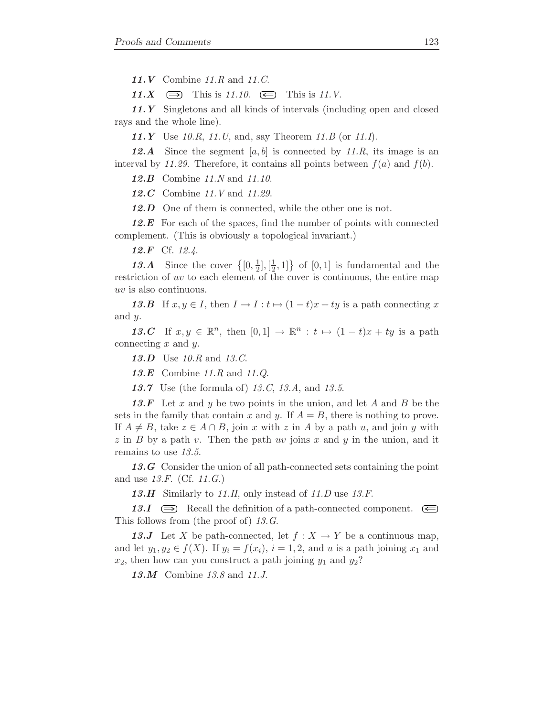11.V Combine 11.R and 11.C.

11.X  $\implies$  This is 11.10.  $\iff$  This is 11.V.

11. Y Singletons and all kinds of intervals (including open and closed rays and the whole line).

**11.Y** Use 10.R, 11.U, and, say Theorem 11.B (or 11.I).

**12.A** Since the segment [a, b] is connected by 11.R, its image is an interval by 11.29. Therefore, it contains all points between  $f(a)$  and  $f(b)$ .

**12.B** Combine 11.N and 11.10.

12.C Combine 11.V and 11.29.

12.D One of them is connected, while the other one is not.

 $12.E$  For each of the spaces, find the number of points with connected complement. (This is obviously a topological invariant.)

12.F Cf. 12.4.

13.A Since the cover  $\{0, \frac{1}{2}\}$  $\frac{1}{2}$ ,  $[\frac{1}{2}]$  $\left\{\frac{1}{2}, 1\right\}$  of  $[0, 1]$  is fundamental and the restriction of uv to each element of the cover is continuous, the entire map uv is also continuous.

13.B If  $x, y \in I$ , then  $I \to I : t \mapsto (1-t)x + ty$  is a path connecting x and  $y$ .

13.C If  $x, y \in \mathbb{R}^n$ , then  $[0, 1] \to \mathbb{R}^n : t \mapsto (1 - t)x + ty$  is a path connecting  $x$  and  $y$ .

13.D Use 10.R and 13.C.

13.E Combine 11.R and 11.Q.

**13.7** Use (the formula of) 13.C, 13.A, and 13.5.

13.F Let x and y be two points in the union, and let A and B be the sets in the family that contain x and y. If  $A = B$ , there is nothing to prove. If  $A \neq B$ , take  $z \in A \cap B$ , join x with z in A by a path u, and join y with  $z$  in B by a path v. Then the path uv joins x and y in the union, and it remains to use 13.5.

13.G Consider the union of all path-connected sets containing the point and use  $13.F.$  (Cf.  $11.G.$ )

13.H Similarly to 11.H, only instead of 11.D use  $13.F$ .

13.I  $\implies$  Recall the definition of a path-connected component.  $\implies$ This follows from (the proof of) 13.G.

13.J Let X be path-connected, let  $f: X \to Y$  be a continuous map, and let  $y_1, y_2 \in f(X)$ . If  $y_i = f(x_i)$ ,  $i = 1, 2$ , and u is a path joining  $x_1$  and  $x_2$ , then how can you construct a path joining  $y_1$  and  $y_2$ ?

13.M Combine 13.8 and 11.J.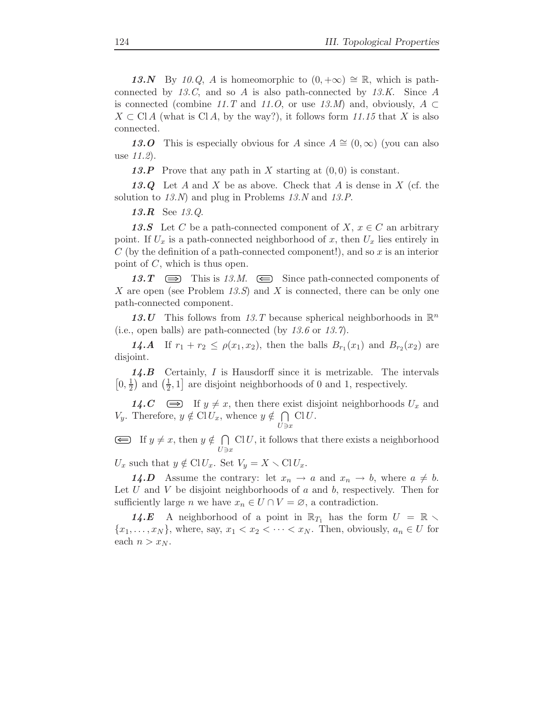13.N By 10.Q, A is homeomorphic to  $(0, +\infty) \cong \mathbb{R}$ , which is pathconnected by 13.C, and so A is also path-connected by 13.K. Since A is connected (combine 11.T and 11.O, or use 13.M) and, obviously,  $A \subset$  $X \subset \text{Cl } A$  (what is Cl A, by the way?), it follows form 11.15 that X is also connected.

13.O This is especially obvious for A since  $A \cong (0,\infty)$  (you can also use 11.2).

13.P Prove that any path in X starting at  $(0,0)$  is constant.

13.Q Let A and X be as above. Check that A is dense in X (cf. the solution to  $13.N$ ) and plug in Problems  $13.N$  and  $13.P$ .

13.R See 13.Q.

13.S Let C be a path-connected component of X,  $x \in C$  an arbitrary point. If  $U_x$  is a path-connected neighborhood of x, then  $U_x$  lies entirely in  $C$  (by the definition of a path-connected component!), and so  $x$  is an interior point of C, which is thus open.

13.T  $\implies$  This is 13.M.  $\implies$  Since path-connected components of X are open (see Problem 13.S) and X is connected, there can be only one path-connected component.

13.U This follows from 13.T because spherical neighborhoods in  $\mathbb{R}^n$ (i.e., open balls) are path-connected (by  $13.6$  or  $13.7$ ).

**14.A** If  $r_1 + r_2 \le \rho(x_1, x_2)$ , then the balls  $B_{r_1}(x_1)$  and  $B_{r_2}(x_2)$  are disjoint.

14.B Certainly, I is Hausdorff since it is metrizable. The intervals  $\left[0,\frac{1}{2}\right]$  $\frac{1}{2}$  and  $\left(\frac{1}{2}\right)$  $\frac{1}{2}$ , 1] are disjoint neighborhoods of 0 and 1, respectively.

14.  $C \implies$  If  $y \neq x$ , then there exist disjoint neighborhoods  $U_x$  and  $V_y$ . Therefore,  $y \notin \text{Cl} U_x$ , whence  $y \notin \bigcap$  $\overline{U}$ ∋x  $ClU.$ 

If  $y \neq x$ , then  $y \notin \bigcap$  $\overline{U}$ ∋x  $ClU$ , it follows that there exists a neighborhood

 $U_x$  such that  $y \notin \text{Cl} U_x$ . Set  $V_y = X \setminus \text{Cl} U_x$ .

**14.D** Assume the contrary: let  $x_n \to a$  and  $x_n \to b$ , where  $a \neq b$ . Let  $U$  and  $V$  be disjoint neighborhoods of  $a$  and  $b$ , respectively. Then for sufficiently large *n* we have  $x_n \in U \cap V = \emptyset$ , a contradiction.

14.E A neighborhood of a point in  $\mathbb{R}_{T_1}$  has the form  $U = \mathbb{R}$  ${x_1, \ldots, x_N}$ , where, say,  $x_1 < x_2 < \cdots < x_N$ . Then, obviously,  $a_n \in U$  for each  $n > x_N$ .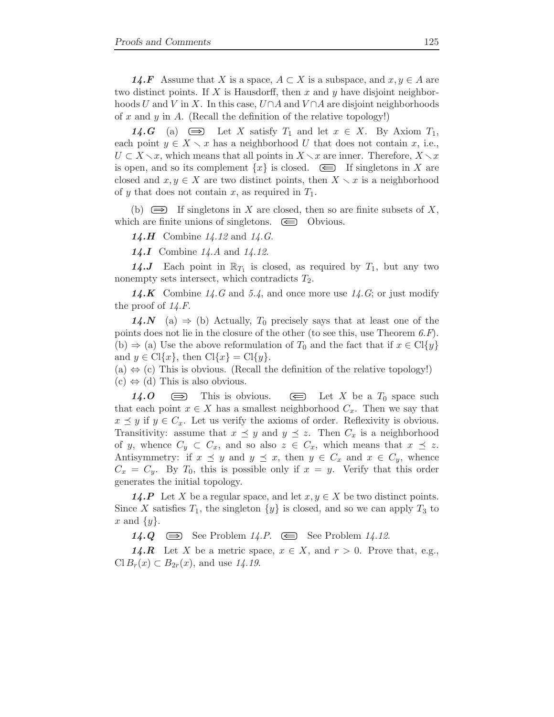**14.F** Assume that X is a space,  $A \subset X$  is a subspace, and  $x, y \in A$  are two distinct points. If X is Hausdorff, then x and y have disjoint neighborhoods U and V in X. In this case,  $U \cap A$  and  $V \cap A$  are disjoint neighborhoods of x and y in A. (Recall the definition of the relative topology!)

**14.G** (a)  $\implies$  Let X satisfy  $T_1$  and let  $x \in X$ . By Axiom  $T_1$ , each point  $y \in X \setminus x$  has a neighborhood U that does not contain x, i.e.,  $U \subset X \setminus x$ , which means that all points in  $X \setminus x$  are inner. Therefore,  $X \setminus x$ is open, and so its complement  $\{x\}$  is closed.  $\iff$  If singletons in X are closed and  $x, y \in X$  are two distinct points, then  $X \setminus x$  is a neighborhood of y that does not contain x, as required in  $T_1$ .

(b)  $\implies$  If singletons in X are closed, then so are finite subsets of X, which are finite unions of singletons.  $\bigoplus$  Obvious.

**14.H** Combine  $14.12$  and  $14.G$ .

**14.I** Combine  $14.A$  and  $14.12$ .

**14.J** Each point in  $\mathbb{R}_{T_1}$  is closed, as required by  $T_1$ , but any two nonempty sets intersect, which contradicts  $T_2$ .

**14.K** Combine 14.G and 5.4, and once more use  $14.G$ ; or just modify the proof of  $14.F$ .

14.N (a)  $\Rightarrow$  (b) Actually, T<sub>0</sub> precisely says that at least one of the points does not lie in the closure of the other (to see this, use Theorem  $(6. F)$ ). (b)  $\Rightarrow$  (a) Use the above reformulation of T<sub>0</sub> and the fact that if  $x \in \text{Cl}(y)$ and  $y \in \text{Cl}\{x\}$ , then  $\text{Cl}\{x\} = \text{Cl}\{y\}$ .

(a)  $\Leftrightarrow$  (c) This is obvious. (Recall the definition of the relative topology!)  $(c) \Leftrightarrow (d)$  This is also obvious.

14.0  $\implies$  This is obvious.  $\iff$  Let X be a  $T_0$  space such that each point  $x \in X$  has a smallest neighborhood  $C_x$ . Then we say that  $x \preceq y$  if  $y \in C_x$ . Let us verify the axioms of order. Reflexivity is obvious. Transitivity: assume that  $x \preceq y$  and  $y \preceq z$ . Then  $C_x$  is a neighborhood of y, whence  $C_y \subset C_x$ , and so also  $z \in C_x$ , which means that  $x \preceq z$ . Antisymmetry: if  $x \preceq y$  and  $y \preceq x$ , then  $y \in C_x$  and  $x \in C_y$ , whence  $C_x = C_y$ . By  $T_0$ , this is possible only if  $x = y$ . Verify that this order generates the initial topology.

**14.P** Let X be a regular space, and let  $x, y \in X$  be two distinct points. Since X satisfies  $T_1$ , the singleton  $\{y\}$  is closed, and so we can apply  $T_3$  to x and  $\{y\}.$ 

14.Q  $\implies$  See Problem 14.P.  $\ominus$  See Problem 14.12.

**14.R** Let X be a metric space,  $x \in X$ , and  $r > 0$ . Prove that, e.g.,  $Cl B_r(x) \subset B_{2r}(x)$ , and use 14.19.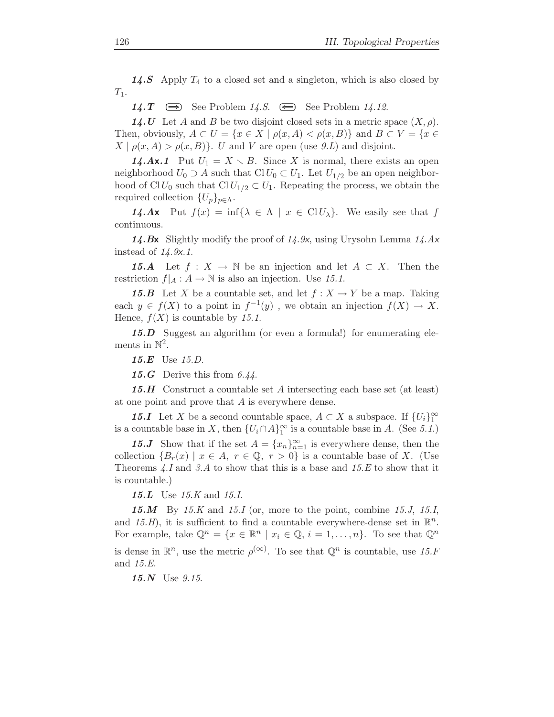14.S Apply  $T_4$  to a closed set and a singleton, which is also closed by  $T_1$ .

14.  $T \implies$  See Problem 14.  $S \implies$  See Problem 14. 12.

14.U Let A and B be two disjoint closed sets in a metric space  $(X, \rho)$ . Then, obviously,  $A \subset U = \{x \in X \mid \rho(x, A) < \rho(x, B)\}\$ and  $B \subset V = \{x \in$  $X | \rho(x, A) > \rho(x, B)$ . U and V are open (use 9.*L*) and disjoint.

**14.Ax.1** Put  $U_1 = X \setminus B$ . Since X is normal, there exists an open neighborhood  $U_0 \supset A$  such that  $Cl U_0 \subset U_1$ . Let  $U_{1/2}$  be an open neighborhood of ClU<sub>0</sub> such that ClU<sub>1/2</sub>  $\subset U_1$ . Repeating the process, we obtain the required collection  $\{U_p\}_{p\in\Lambda}$ .

**14.Ax** Put  $f(x) = \inf\{\lambda \in \Lambda \mid x \in \text{Cl}(U_\lambda)\}\)$ . We easily see that f continuous.

14.Bx Slightly modify the proof of  $14.9x$ , using Urysohn Lemma  $14.4x$ instead of  $14.9x.1$ .

15.A Let  $f : X \to \mathbb{N}$  be an injection and let  $A \subset X$ . Then the restriction  $f|_A : A \to \mathbb{N}$  is also an injection. Use 15.1.

**15.B** Let X be a countable set, and let  $f : X \to Y$  be a map. Taking each  $y \in f(X)$  to a point in  $f^{-1}(y)$ , we obtain an injection  $f(X) \to X$ . Hence,  $f(X)$  is countable by 15.1.

15.D Suggest an algorithm (or even a formula!) for enumerating elements in  $\mathbb{N}^2$ .

15.E Use 15.D.

15.G Derive this from  $6.44$ .

**15.H** Construct a countable set A intersecting each base set (at least) at one point and prove that  $A$  is everywhere dense.

**15.I** Let X be a second countable space,  $A \subset X$  a subspace. If  $\{U_i\}_1^{\infty}$ is a countable base in X, then  $\{U_i \cap A\}^{\infty}_1$  is a countable base in A. (See 5.1.)

15.J Show that if the set  $A = \{x_n\}_{n=1}^{\infty}$  is everywhere dense, then the collection  ${B_r(x) \mid x \in A, r \in \mathbb{Q}, r > 0}$  is a countable base of X. (Use Theorems  $\angle A$ . I and 3.A to show that this is a base and 15.E to show that it is countable.)

**15.L** Use 15.K and 15.I.

15.M By 15.K and 15.I (or, more to the point, combine 15.J, 15.I, and 15.H, it is sufficient to find a countable everywhere-dense set in  $\mathbb{R}^n$ . For example, take  $\mathbb{Q}^n = \{x \in \mathbb{R}^n \mid x_i \in \mathbb{Q}, i = 1, \ldots, n\}$ . To see that  $\mathbb{Q}^n$ is dense in  $\mathbb{R}^n$ , use the metric  $\rho^{(\infty)}$ . To see that  $\mathbb{Q}^n$  is countable, use 15.F and 15.E.

15.N Use 9.15.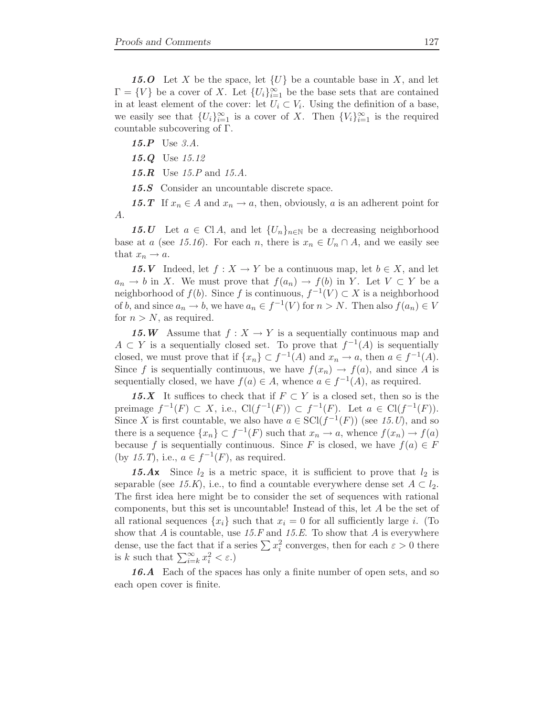15.O Let X be the space, let  $\{U\}$  be a countable base in X, and let  $\Gamma = \{V\}$  be a cover of X. Let  $\{U_i\}_{i=1}^{\infty}$  be the base sets that are contained in at least element of the cover: let  $U_i \subset V_i$ . Using the definition of a base, we easily see that  $\{U_i\}_{i=1}^{\infty}$  is a cover of X. Then  $\{V_i\}_{i=1}^{\infty}$  is the required countable subcovering of Γ.

15.P Use 3.A.

15.Q Use 15.12

**15.R** Use  $15.P$  and  $15.A$ .

15.S Consider an uncountable discrete space.

15.T If  $x_n \in A$  and  $x_n \to a$ , then, obviously, a is an adherent point for A.

15.U Let  $a \in \text{Cl } A$ , and let  $\{U_n\}_{n\in\mathbb{N}}$  be a decreasing neighborhood base at a (see 15.16). For each n, there is  $x_n \in U_n \cap A$ , and we easily see that  $x_n \to a$ .

15. V Indeed, let  $f: X \to Y$  be a continuous map, let  $b \in X$ , and let  $a_n \to b$  in X. We must prove that  $f(a_n) \to f(b)$  in Y. Let  $V \subset Y$  be a neighborhood of  $f(b)$ . Since f is continuous,  $f^{-1}(V) \subset X$  is a neighborhood of b, and since  $a_n \to b$ , we have  $a_n \in f^{-1}(V)$  for  $n > N$ . Then also  $f(a_n) \in V$ for  $n > N$ , as required.

15.W Assume that  $f: X \to Y$  is a sequentially continuous map and  $A \subset Y$  is a sequentially closed set. To prove that  $f^{-1}(A)$  is sequentially closed, we must prove that if  $\{x_n\} \subset f^{-1}(A)$  and  $x_n \to a$ , then  $a \in f^{-1}(A)$ . Since f is sequentially continuous, we have  $f(x_n) \to f(a)$ , and since A is sequentially closed, we have  $f(a) \in A$ , whence  $a \in f^{-1}(A)$ , as required.

15.X It suffices to check that if  $F \subset Y$  is a closed set, then so is the preimage  $f^{-1}(F) \subset X$ , i.e.,  $Cl(f^{-1}(F)) \subset f^{-1}(F)$ . Let  $a \in Cl(f^{-1}(F))$ . Since X is first countable, we also have  $a \in \text{SCI}(f^{-1}(F))$  (see 15.*U*), and so there is a sequence  $\{x_n\} \subset f^{-1}(F)$  such that  $x_n \to a$ , whence  $f(x_n) \to f(a)$ because f is sequentially continuous. Since F is closed, we have  $f(a) \in F$ (by 15.T), i.e.,  $a \in f^{-1}(F)$ , as required.

**15.Ax** Since  $l_2$  is a metric space, it is sufficient to prove that  $l_2$  is separable (see 15.K), i.e., to find a countable everywhere dense set  $A \subset l_2$ . The first idea here might be to consider the set of sequences with rational components, but this set is uncountable! Instead of this, let A be the set of all rational sequences  $\{x_i\}$  such that  $x_i = 0$  for all sufficiently large i. (To show that A is countable, use  $15.F$  and  $15.E$ . To show that A is everywhere dense, use the fact that if a series  $\sum x_i^2$  converges, then for each  $\varepsilon > 0$  there is k such that  $\sum_{i=k}^{\infty} x_i^2 < \varepsilon$ .)

16.A Each of the spaces has only a finite number of open sets, and so each open cover is finite.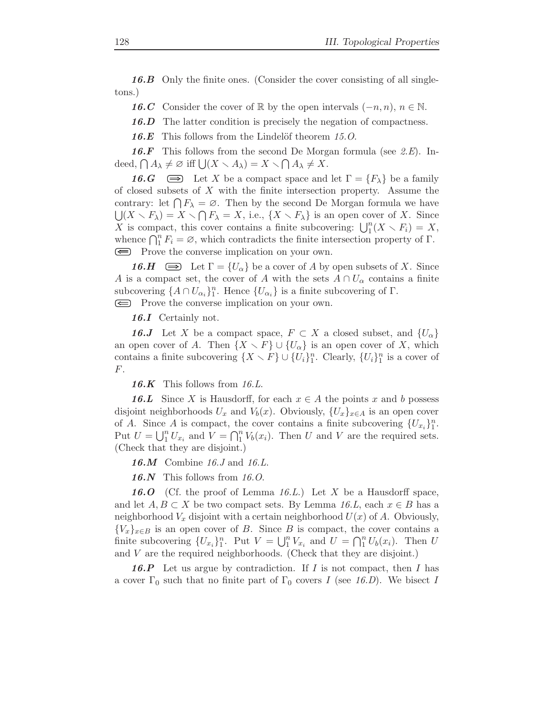16.B Only the finite ones. (Consider the cover consisting of all singletons.)

**16.C** Consider the cover of R by the open intervals  $(-n, n)$ ,  $n \in \mathbb{N}$ .

16.D The latter condition is precisely the negation of compactness.

16.E This follows from the Lindelöf theorem  $15.0$ .

**16.F** This follows from the second De Morgan formula (see  $2.E$ ). Indeed,  $\bigcap A_{\lambda} \neq \emptyset$  iff  $\bigcup (X \setminus A_{\lambda}) = X \setminus \bigcap A_{\lambda} \neq X$ .

**16.G**  $\implies$  Let X be a compact space and let  $\Gamma = \{F_{\lambda}\}\$ be a family of closed subsets of  $X$  with the finite intersection property. Assume the contrary: let  $\bigcap F_{\lambda} = \emptyset$ . Then by the second De Morgan formula we have  $\bigcup (X \setminus F_\lambda) = X \setminus \bigcap F_\lambda = X$ , i.e.,  $\{X \setminus F_\lambda\}$  is an open cover of X. Since X is compact, this cover contains a finite subcovering:  $\bigcup_{1}^{n}(X \setminus F_i) = X$ , whence  $\bigcap_{1}^{n} F_i = \emptyset$ , which contradicts the finite intersection property of  $\Gamma$ . Frove the converse implication on your own.

**16.H**  $\implies$  Let  $\Gamma = \{U_\alpha\}$  be a cover of A by open subsets of X. Since A is a compact set, the cover of A with the sets  $A \cap U_{\alpha}$  contains a finite subcovering  $\{A \cap U_{\alpha_i}\}_1^n$ . Hence  $\{U_{\alpha_i}\}\$ is a finite subcovering of  $\Gamma$ .

Frove the converse implication on your own.

16.I Certainly not.

**16.J** Let X be a compact space,  $F \subset X$  a closed subset, and  $\{U_{\alpha}\}\$ an open cover of A. Then  $\{X \setminus F\} \cup \{U_\alpha\}$  is an open cover of X, which contains a finite subcovering  $\{X \setminus F\} \cup \{U_i\}_{1}^{n}$ . Clearly,  $\{U_i\}_{1}^{n}$  is a cover of F.

16.K This follows from  $16.L$ .

**16.L** Since X is Hausdorff, for each  $x \in A$  the points x and b possess disjoint neighborhoods  $U_x$  and  $V_b(x)$ . Obviously,  $\{U_x\}_{x \in A}$  is an open cover of A. Since A is compact, the cover contains a finite subcovering  $\{U_{x_i}\}_1^n$ . Put  $U = \bigcup_{i=1}^{n} U_{x_i}$  and  $V = \bigcap_{i=1}^{n} V_b(x_i)$ . Then U and V are the required sets. (Check that they are disjoint.)

**16.M** Combine 16.J and 16.L.

16.N This follows from  $16.0$ .

**16.O** (Cf. the proof of Lemma 16.L.) Let  $X$  be a Hausdorff space, and let  $A, B \subset X$  be two compact sets. By Lemma 16.L, each  $x \in B$  has a neighborhood  $V_x$  disjoint with a certain neighborhood  $U(x)$  of A. Obviously,  ${V_x}_{x \in B}$  is an open cover of B. Since B is compact, the cover contains a finite subcovering  $\{U_{x_i}\}_1^n$ . Put  $V = \bigcup_{1}^{n} V_{x_i}$  and  $U = \bigcap_{1}^{n} U_b(x_i)$ . Then U and V are the required neighborhoods. (Check that they are disjoint.)

**16.P** Let us argue by contradiction. If I is not compact, then I has a cover  $\Gamma_0$  such that no finite part of  $\Gamma_0$  covers I (see 16.D). We bisect I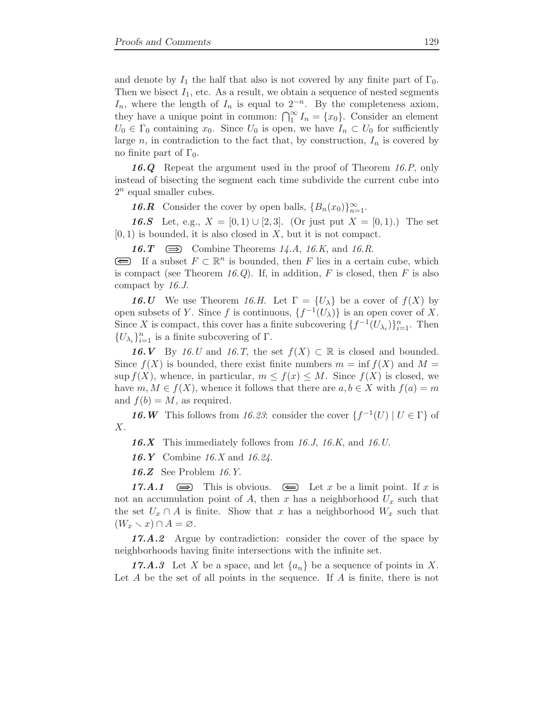and denote by  $I_1$  the half that also is not covered by any finite part of  $\Gamma_0$ . Then we bisect  $I_1$ , etc. As a result, we obtain a sequence of nested segments  $I_n$ , where the length of  $I_n$  is equal to  $2^{-n}$ . By the completeness axiom, they have a unique point in common:  $\bigcap_{1}^{\infty} I_n = \{x_0\}$ . Consider an element  $U_0 \in \Gamma_0$  containing  $x_0$ . Since  $U_0$  is open, we have  $I_n \subset U_0$  for sufficiently large n, in contradiction to the fact that, by construction,  $I_n$  is covered by no finite part of  $\Gamma_0$ .

16.Q Repeat the argument used in the proof of Theorem 16.P, only instead of bisecting the segment each time subdivide the current cube into  $2^n$  equal smaller cubes.

**16.R** Consider the cover by open balls,  ${B_n(x_0)}_{n=1}^{\infty}$ .

**16.S** Let, e.g.,  $X = [0, 1) \cup [2, 3]$ . (Or just put  $X = [0, 1]$ .) The set  $[0, 1)$  is bounded, it is also closed in X, but it is not compact.

16.  $T \implies$  Combine Theorems 14.A, 16.K, and 16.R.

If a subset  $F \subset \mathbb{R}^n$  is bounded, then F lies in a certain cube, which is compact (see Theorem 16.Q). If, in addition,  $F$  is closed, then  $F$  is also compact by 16.J.

**16.U** We use Theorem 16.H. Let  $\Gamma = \{U_\lambda\}$  be a cover of  $f(X)$  by open subsets of Y. Since f is continuous,  $\{f^{-1}(U_\lambda)\}\)$  is an open cover of X. Since X is compact, this cover has a finite subcovering  $\{f^{-1}(U_{\lambda_i})\}_{i=1}^n$ . Then  $\{U_{\lambda_i}\}_{i=1}^n$  is a finite subcovering of  $\Gamma$ .

**16.V** By 16.U and 16.T, the set  $f(X) \subset \mathbb{R}$  is closed and bounded. Since  $f(X)$  is bounded, there exist finite numbers  $m = \inf f(X)$  and  $M =$ sup  $f(X)$ , whence, in particular,  $m \le f(x) \le M$ . Since  $f(X)$  is closed, we have  $m, M \in f(X)$ , whence it follows that there are  $a, b \in X$  with  $f(a) = m$ and  $f(b) = M$ , as required.

**16.** W This follows from 16.23: consider the cover  $\{f^{-1}(U) \mid U \in \Gamma\}$  of X.

16.X This immediately follows from 16.J, 16.K, and 16.U.

16.Y Combine 16.X and 16.24.

16.Z See Problem 16.Y.

17.A.1  $\implies$  This is obvious.  $\iff$  Let x be a limit point. If x is not an accumulation point of A, then x has a neighborhood  $U_x$  such that the set  $U_x \cap A$  is finite. Show that x has a neighborhood  $W_x$  such that  $(W_x \setminus x) \cap A = \varnothing$ .

17.A.2 Argue by contradiction: consider the cover of the space by neighborhoods having finite intersections with the infinite set.

**17.A.3** Let X be a space, and let  $\{a_n\}$  be a sequence of points in X. Let  $A$  be the set of all points in the sequence. If  $A$  is finite, there is not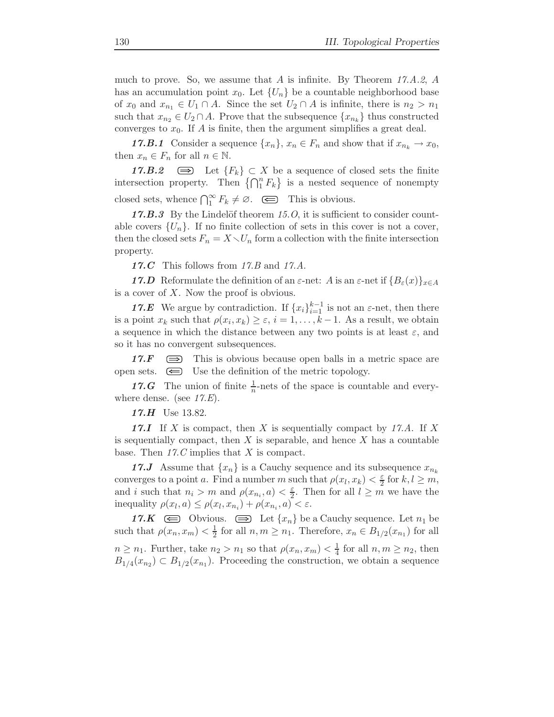much to prove. So, we assume that A is infinite. By Theorem  $17.A.2, A$ has an accumulation point  $x_0$ . Let  $\{U_n\}$  be a countable neighborhood base of  $x_0$  and  $x_{n_1} \in U_1 \cap A$ . Since the set  $U_2 \cap A$  is infinite, there is  $n_2 > n_1$ such that  $x_{n_2} \in U_2 \cap A$ . Prove that the subsequence  $\{x_{n_k}\}\)$  thus constructed converges to  $x_0$ . If A is finite, then the argument simplifies a great deal.

**17.B.1** Consider a sequence  $\{x_n\}$ ,  $x_n \in F_n$  and show that if  $x_{n_k} \to x_0$ , then  $x_n \in F_n$  for all  $n \in \mathbb{N}$ .

17.B.2  $\implies$  Let  ${F_k}$  ⊂ X be a sequence of closed sets the finite intersection property. Then  $\{\bigcap_{1}^{n} F_{k}\}\$ is a nested sequence of nonempty closed sets, whence  $\bigcap_{1}^{\infty} F_k \neq \emptyset$ .  $\quad \textcircled{\equiv}$  This is obvious.

 $17.B.3$  By the Lindelöf theorem 15.0, it is sufficient to consider countable covers  $\{U_n\}$ . If no finite collection of sets in this cover is not a cover, then the closed sets  $F_n = X \setminus U_n$  form a collection with the finite intersection property.

17. $C$  This follows from 17. $B$  and 17. $A$ .

17.D Reformulate the definition of an  $\varepsilon$ -net: A is an  $\varepsilon$ -net if  ${B_{\varepsilon}(x)}_{x\in A}$ is a cover of  $X$ . Now the proof is obvious.

**17.E** We argue by contradiction. If  $\{x_i\}_{i=1}^{k-1}$  is not an  $\varepsilon$ -net, then there is a point  $x_k$  such that  $\rho(x_i, x_k) \geq \varepsilon$ ,  $i = 1, \ldots, k-1$ . As a result, we obtain a sequence in which the distance between any two points is at least  $\varepsilon$ , and so it has no convergent subsequences.

17. $F \implies$  This is obvious because open balls in a metric space are open sets.  $\epsilon$  Use the definition of the metric topology.

17.G The union of finite  $\frac{1}{n}$ -nets of the space is countable and everywhere dense. (see  $17.E$ ).

17.H Use 13.82.

17.I If X is compact, then X is sequentially compact by 17.A. If X is sequentially compact, then  $X$  is separable, and hence  $X$  has a countable base. Then  $17.C$  implies that X is compact.

17.J Assume that  $\{x_n\}$  is a Cauchy sequence and its subsequence  $x_{n_k}$ converges to a point a. Find a number m such that  $\rho(x_l, x_k) < \frac{\varepsilon}{2}$  for  $k, l \ge m$ , and i such that  $n_i > m$  and  $\rho(x_{n_i}, a) < \frac{\varepsilon}{2}$  $\frac{\varepsilon}{2}$ . Then for all  $l \geq m$  we have the inequality  $\rho(x_l, a) \leq \rho(x_l, x_{n_i}) + \rho(x_{n_i}, a) < \varepsilon$ .

17.K  $\quad \equiv \quad$  Obvious.  $\equiv \quad$  Let  $\{x_n\}$  be a Cauchy sequence. Let  $n_1$  be such that  $\rho(x_n, x_m) < \frac{1}{2}$  $\frac{1}{2}$  for all  $n, m \geq n_1$ . Therefore,  $x_n \in B_{1/2}(x_{n_1})$  for all  $n \geq n_1$ . Further, take  $n_2 > n_1$  so that  $\rho(x_n, x_m) < \frac{1}{4}$  $\frac{1}{4}$  for all  $n, m \geq n_2$ , then  $B_{1/4}(x_{n_2}) \subset B_{1/2}(x_{n_1})$ . Proceeding the construction, we obtain a sequence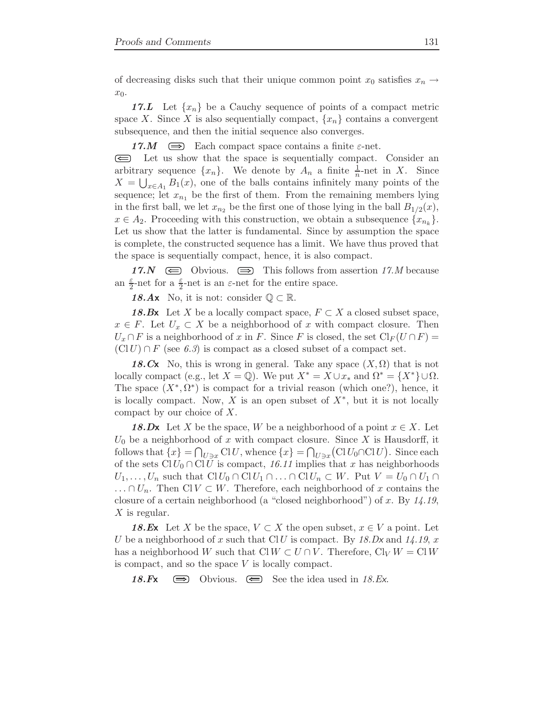of decreasing disks such that their unique common point  $x_0$  satisfies  $x_n \rightarrow$  $x_0$ .

17.L Let  $\{x_n\}$  be a Cauchy sequence of points of a compact metric space X. Since X is also sequentially compact,  $\{x_n\}$  contains a convergent subsequence, and then the initial sequence also converges.

17.M  $\implies$  Each compact space contains a finite  $\varepsilon$ -net.

 $\circledcirc$ Let us show that the space is sequentially compact. Consider an arbitrary sequence  $\{x_n\}$ . We denote by  $A_n$  a finite  $\frac{1}{n}$ -net in X. Since  $X = \bigcup_{x \in A_1} B_1(x)$ , one of the balls contains infinitely many points of the sequence; let  $x_{n_1}$  be the first of them. From the remaining members lying in the first ball, we let  $x_{n_2}$  be the first one of those lying in the ball  $B_{1/2}(x)$ ,  $x \in A_2$ . Proceeding with this construction, we obtain a subsequence  $\{x_{n_k}\}.$ Let us show that the latter is fundamental. Since by assumption the space is complete, the constructed sequence has a limit. We have thus proved that the space is sequentially compact, hence, it is also compact.

17.N  $\implies$  Obvious.  $\implies$  This follows from assertion 17.M because an  $\frac{\varepsilon}{2}$ -net for a  $\frac{\varepsilon}{2}$ -net is an  $\varepsilon$ -net for the entire space.

18.Ax No, it is not: consider  $\mathbb{Q} \subset \mathbb{R}$ .

**18.Bx** Let X be a locally compact space,  $F \subset X$  a closed subset space,  $x \in F$ . Let  $U_x \subset X$  be a neighborhood of x with compact closure. Then  $U_x \cap F$  is a neighborhood of x in F. Since F is closed, the set  $\text{Cl}_F(U \cap F)$  =  $(C|U) \cap F$  (see 6.3) is compact as a closed subset of a compact set.

18.Cx No, this is wrong in general. Take any space  $(X, \Omega)$  that is not locally compact (e.g., let  $X = \mathbb{Q}$ ). We put  $X^* = X \cup x_*$  and  $\Omega^* = \{X^*\} \cup \Omega$ . The space  $(X^*, \Omega^*)$  is compact for a trivial reason (which one?), hence, it is locally compact. Now, X is an open subset of  $X^*$ , but it is not locally compact by our choice of X.

**18.Dx** Let X be the space, W be a neighborhood of a point  $x \in X$ . Let  $U_0$  be a neighborhood of x with compact closure. Since X is Hausdorff, it follows that  $\{x\} = \bigcap_{U \ni x} \text{Cl } U$ , whence  $\{x\} = \bigcap_{U \ni x} (\text{Cl } U_0 \cap \text{Cl } U)$ . Since each of the sets  $Cl U_0 \cap Cl U$  is compact, 16.11 implies that x has neighborhoods  $U_1, \ldots, U_n$  such that  $\text{Cl } U_0 \cap \text{Cl } U_1 \cap \ldots \cap \text{Cl } U_n \subset W$ . Put  $V = U_0 \cap U_1 \cap$  $\ldots \cap U_n$ . Then Cl  $V \subset W$ . Therefore, each neighborhood of x contains the closure of a certain neighborhood (a "closed neighborhood") of x. By  $14.19$ ,  $X$  is regular.

**18.Ex** Let X be the space,  $V \subset X$  the open subset,  $x \in V$  a point. Let U be a neighborhood of x such that ClU is compact. By 18.Dx and 14.19, x has a neighborhood W such that Cl  $W \subset U \cap V$ . Therefore, Cl<sub>V</sub>  $W = \text{Cl } W$ is compact, and so the space V is locally compact.

18.Fx  $\implies$  Obvious.  $\implies$  See the idea used in 18.Ex.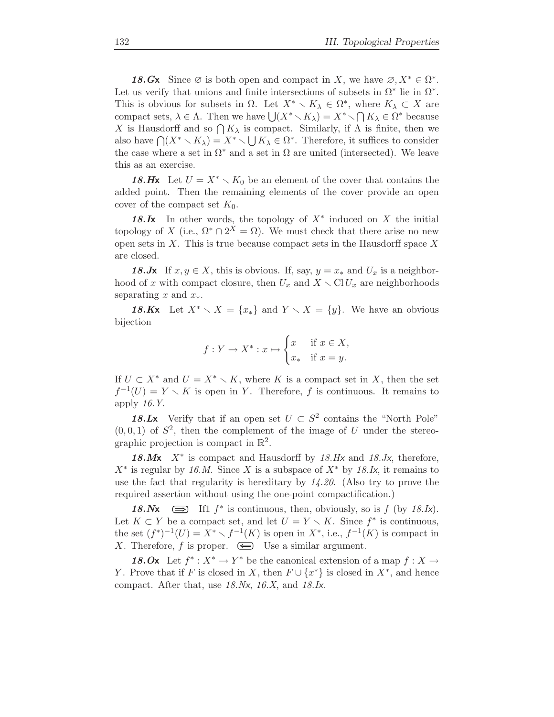18.Gx Since  $\emptyset$  is both open and compact in X, we have  $\emptyset, X^* \in \Omega^*$ . Let us verify that unions and finite intersections of subsets in  $\Omega^*$  lie in  $\Omega^*$ . This is obvious for subsets in  $\Omega$ . Let  $X^* \setminus K_\lambda \in \Omega^*$ , where  $K_\lambda \subset X$  are compact sets,  $\lambda \in \Lambda$ . Then we have  $\bigcup (X^* \setminus K_\lambda) = X^* \setminus \bigcap K_\lambda \in \Omega^*$  because X is Hausdorff and so  $\bigcap K_{\lambda}$  is compact. Similarly, if  $\Lambda$  is finite, then we also have  $\bigcap (X^* \setminus K_\lambda) = X^* \setminus \bigcup K_\lambda \in \Omega^*$ . Therefore, it suffices to consider the case where a set in  $\Omega^*$  and a set in  $\Omega$  are united (intersected). We leave this as an exercise.

18.Hx Let  $U = X^* \setminus K_0$  be an element of the cover that contains the added point. Then the remaining elements of the cover provide an open cover of the compact set  $K_0$ .

18.Ix In other words, the topology of  $X^*$  induced on X the initial topology of X (i.e.,  $\Omega^* \cap 2^X = \Omega$ ). We must check that there arise no new open sets in  $X$ . This is true because compact sets in the Hausdorff space  $X$ are closed.

18.Jx If  $x, y \in X$ , this is obvious. If, say,  $y = x_*$  and  $U_x$  is a neighborhood of x with compact closure, then  $U_x$  and  $X \setminus \mathrm{Cl} U_x$  are neighborhoods separating x and  $x_*$ .

18.Kx Let  $X^* \setminus X = \{x_*\}$  and  $Y \setminus X = \{y\}$ . We have an obvious bijection

$$
f: Y \to X^* : x \mapsto \begin{cases} x & \text{if } x \in X, \\ x_* & \text{if } x = y. \end{cases}
$$

If  $U \subset X^*$  and  $U = X^* \setminus K$ , where K is a compact set in X, then the set  $f^{-1}(U) = Y \setminus K$  is open in Y. Therefore, f is continuous. It remains to apply 16.Y.

18.Lx Verify that if an open set  $U \subset S^2$  contains the "North Pole"  $(0, 0, 1)$  of  $S^2$ , then the complement of the image of U under the stereographic projection is compact in  $\mathbb{R}^2$ .

18. $Mx$  X<sup>\*</sup> is compact and Hausdorff by 18.Hx and 18.Jx, therefore,  $X^*$  is regular by 16.M. Since X is a subspace of  $X^*$  by 18.Ix, it remains to use the fact that regularity is hereditary by  $14.20$ . (Also try to prove the required assertion without using the one-point compactification.)

18.  $Nx \implies$  If1  $f^*$  is continuous, then, obviously, so is  $f$  (by 18.  $Ix$ ). Let  $K \subset Y$  be a compact set, and let  $U = Y \setminus K$ . Since  $f^*$  is continuous, the set  $(f^*)^{-1}(U) = X^* \setminus f^{-1}(K)$  is open in  $X^*$ , i.e.,  $f^{-1}(K)$  is compact in X. Therefore, f is proper.  $\epsilon$  Use a similar argument.

18.Ox Let  $f^*: X^* \to Y^*$  be the canonical extension of a map  $f: X \to Y^*$ Y. Prove that if F is closed in X, then  $F \cup \{x^*\}$  is closed in  $X^*$ , and hence compact. After that, use 18.Nx, 16.X, and 18.Ix.